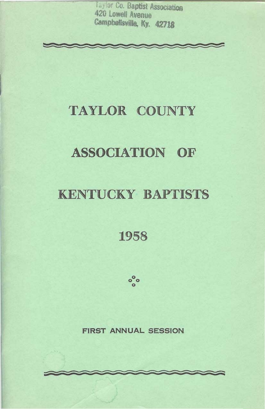Taylor Co. Baptist Association 420 Lowell Avenue Campbellsville, Ky. 42718

# TAYLOR COUNTY

# **ASSOCIATION OF**

# **KENTUCKY BAPTISTS**

# 1958



## **FIRST ANNUAL SESSION**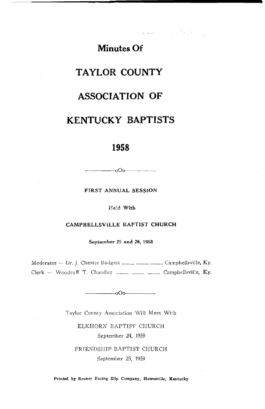**Minutes Of** 

المستحدث والمتحارب المتعارض

# **TAYLOR COUNTY**

# **ASSOCIATION OF**

# **KENTUCKY BAPTISTS**

## 1958

FIRST ANNUAL SESSION

 $-$ 000 $-$ 

Held With

### CAMPBELLSVILLE BAPTIST CHURCH

September 25 and 26, 1958

Moderator - Dr. J. Chester Badgett .......... .......... .......... Campbellsville, Ky. Clerk - Woodruff T. Chandler .......... .......... .......... Campbellsville, Ky.

 $-000$ 

Taylor County Association Will Meet With

ELKHORN BAPTIST CHURCH September 24, 1959

FRIENDSHIP BAPTIST CHURCH September 25, 1959

Printed by Bruner Facing Slip Company, Hawesville, Kentucky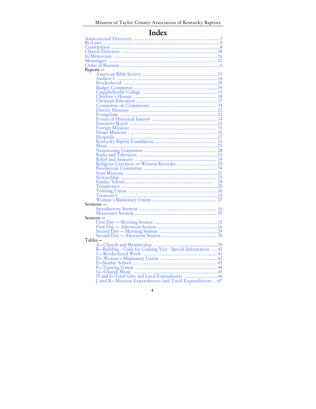# Index

| Reports —                                                                                                 |  |
|-----------------------------------------------------------------------------------------------------------|--|
|                                                                                                           |  |
|                                                                                                           |  |
|                                                                                                           |  |
|                                                                                                           |  |
|                                                                                                           |  |
|                                                                                                           |  |
|                                                                                                           |  |
|                                                                                                           |  |
|                                                                                                           |  |
|                                                                                                           |  |
|                                                                                                           |  |
|                                                                                                           |  |
|                                                                                                           |  |
|                                                                                                           |  |
|                                                                                                           |  |
|                                                                                                           |  |
|                                                                                                           |  |
|                                                                                                           |  |
|                                                                                                           |  |
|                                                                                                           |  |
|                                                                                                           |  |
|                                                                                                           |  |
|                                                                                                           |  |
|                                                                                                           |  |
|                                                                                                           |  |
|                                                                                                           |  |
|                                                                                                           |  |
|                                                                                                           |  |
|                                                                                                           |  |
| Sermons —                                                                                                 |  |
|                                                                                                           |  |
|                                                                                                           |  |
| Sessions —                                                                                                |  |
|                                                                                                           |  |
|                                                                                                           |  |
|                                                                                                           |  |
|                                                                                                           |  |
| Tables —                                                                                                  |  |
|                                                                                                           |  |
|                                                                                                           |  |
|                                                                                                           |  |
|                                                                                                           |  |
|                                                                                                           |  |
|                                                                                                           |  |
|                                                                                                           |  |
|                                                                                                           |  |
| H and I-Total Gifts and Local Expenditures  46<br>J and K-Mission Expenditures and Total Expenditures  47 |  |
|                                                                                                           |  |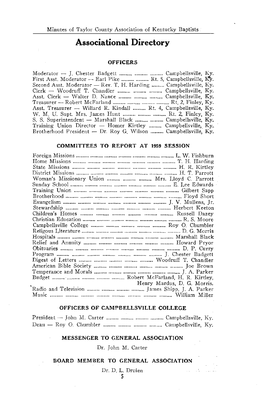# **Associational Directory**

### **OFFICERS**

**Sales State** 

 $\mathcal{L}_{\text{max}}$ 

**Section** 

| First Asst, Moderator — Earl Pike   Rt. 5. Campbellsville, Ky.                                 |  |
|------------------------------------------------------------------------------------------------|--|
| Second Asst. Moderator $-$ Rev. T. H. Harding $\ldots$ Campbellsville, Ky.                     |  |
| $Clerk$ — Woodruff T. Chandler $\ldots$ , $\ldots$ , $\ldots$ , $\ldots$ , Campbellsville, Ky. |  |
| Asst. Clerk — Walter D. Nance    Campbellsville, Ky.                                           |  |
| Treasurer — Robert McFarland    Rt. 2. Finley, Ky.                                             |  |
| Asst. Treasurer — Willard R. Kindall  Rt. 4, Campbellsville, Ky.                               |  |
| W. M. U. Supt. Mrs. James Hunt    Rt. 2, Finley, Ky.                                           |  |
| S. S. Superintendent — Marshall Black $\ldots$ Campbellsville, Ky.                             |  |
| Training Union Director — Homer Kirtley  Campbellsville, Ky.                                   |  |
| Brotherhood President — Dr. Roy G. Wilson  Campbellsville, Ky.                                 |  |
|                                                                                                |  |

#### **COMMITTEES TO REPORT AT 1959 SESSION**

| Woman's Missionary Union    Mrs. Lloyd C. Parrott |                             |
|---------------------------------------------------|-----------------------------|
|                                                   |                             |
|                                                   |                             |
|                                                   |                             |
|                                                   |                             |
|                                                   |                             |
|                                                   |                             |
|                                                   |                             |
|                                                   |                             |
|                                                   |                             |
|                                                   |                             |
|                                                   |                             |
|                                                   |                             |
|                                                   |                             |
|                                                   |                             |
|                                                   |                             |
|                                                   |                             |
|                                                   |                             |
|                                                   | Henry Mardus, D. G. Morris. |
|                                                   |                             |
|                                                   |                             |
|                                                   |                             |

### OFFICERS OF CAMPBELLSVILLE COLLEGE

Dean - Roy O. Chumbler .......... .......... ......... Campbellsville, Ky.

### MESSENGER TO GENERAL ASSOCIATION

Dr. John M. Carter

### BOARD MEMBER TO GENERAL ASSOCIATION

Dr. D. L. Druien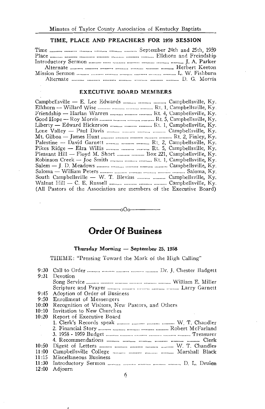## TIME, PLACE AND PREACHERS FOR 1959 SESSION

#### **EXECUTIVE BOARD MEMBERS**

| Campbellsville — E. Lee Edwards   Campbellsville, Ky.               |
|---------------------------------------------------------------------|
| Elkhorn — Willard Wise    Rt. 1, Campbellsville, Ky.                |
| Friendship - Harlan Warren    Rt. 4, Campbellsville, Ky.            |
| Good Hope — Roy Morris    Rt. 5, Campbellsville, Ky.                |
| Liberty — Edward Hickerson    Rt. 1, Campbellsville, Ky.            |
| Lone Valley — Paul Davis    Campbellsville, Ky.                     |
|                                                                     |
| Palestine — David Garnett $Rt$ , 2, Campbellsville, Ky.             |
| Pikes Ridge — Elza Willis    Rt. 5, Campbellsville, Ky.             |
| Pleasant Hill — Floyd M. Short   Box 221, Campbellsville, Ky.       |
| Robinson Creek — Joe Smith   Rt. 1, Campbellsville, Ky.             |
|                                                                     |
|                                                                     |
| South Campbellsville $-$ W. T. Blevins $\ldots$ Campbellsville, Ky. |
|                                                                     |
| (All Pastors of the Association are members of the Executive Board) |

# **Order Of Business**

 $-000$ 

### Thursday Morning - September 25, 1958

THEME: "Pressing Toward the Mark of the High Calling"

| 9:30                         |                                                  |
|------------------------------|--------------------------------------------------|
| 9:31                         | Devotion                                         |
|                              |                                                  |
|                              |                                                  |
| 9:45                         | Adoption of Order of Business                    |
| 9:50                         | Enrollment of Messengers                         |
| 10:00                        | Recognition of Visitors, New Pastors, and Others |
| 10:10                        | Invitation to New Churches                       |
| 10:20                        | Report of Executive Board                        |
| $\sim 10$                    |                                                  |
|                              |                                                  |
| $\mathcal{L}_{\mathrm{int}}$ |                                                  |
|                              |                                                  |
| 10:50                        |                                                  |
| 11:00                        |                                                  |
| 11:15                        | Miscellaneous Business                           |
|                              |                                                  |
| 11:30                        |                                                  |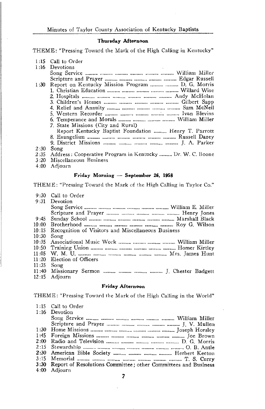#### Thursday Afternoon

THEME: "Pressing Toward the Mark of the High Calling in Kentucky"

|      | 1:15 Call to Order                                        |
|------|-----------------------------------------------------------|
|      | 1:16 Devotions                                            |
|      |                                                           |
|      |                                                           |
| 1:30 | Report on Kentucky Mission Program   D. G. Morris         |
|      |                                                           |
|      |                                                           |
|      |                                                           |
|      |                                                           |
|      |                                                           |
|      |                                                           |
|      | 7. State Missions (City and Rural)                        |
|      | Report Kentucky Baptist Foundation  Henry T. Parrott      |
|      |                                                           |
|      |                                                           |
| 2:30 | Song                                                      |
| 2:35 | Address: Cooperative Program in Kentucky  Dr. W. C. Boone |
| 3:20 | Miscellaneous Business                                    |

4:00 Adjourn

#### Friday Morning - September 26, 1958

THEME: "Pressing Toward the Mark of the High Calling in Taylor Co."

|              | 9:30 Call to Order                                       |
|--------------|----------------------------------------------------------|
|              | 9:31 Devotion                                            |
|              |                                                          |
|              |                                                          |
|              |                                                          |
|              |                                                          |
|              | 10:15 Recognition of Visitors and Miscellaneous Business |
| $10:30$ Song |                                                          |
|              |                                                          |
|              |                                                          |
|              |                                                          |
|              | 11:20 Election of Officers                               |
| $11:35$ Song |                                                          |
|              | 11:40 Missionary Sermon    J. Chester Badgett            |
|              | 12:15 Adjourn                                            |

#### Friday Afternoon

THEME: "Pressing Toward the Mark of the High Calling in the World"

|      | 1:15 Call to Order                                                  |
|------|---------------------------------------------------------------------|
|      | 1:16 Devotion                                                       |
|      |                                                                     |
|      |                                                                     |
|      |                                                                     |
| 1:45 |                                                                     |
| 2:00 |                                                                     |
|      |                                                                     |
|      | 2:30 American Bible Society    Herbert Keeton                       |
|      |                                                                     |
|      | 3:30 Report of Resolutions Committee; other Committees and Business |
| 4:00 | Adiourn                                                             |

7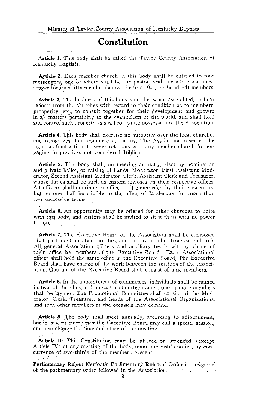# Constitution

Services of

Article 1. This body shall be called the Taylor County Association of Kentucky Baptists.

Article 2. Each member church in this body shall be entitled to four messengers, one of whom shall be the pastor, and one additional messenger for each fifty members above the first 100 (one hundred) members.

Article 3. The business of this body shall be, when assembled, to hear reports from the churches with regard to their condition as to members, prosperity, etc., to consult together for their development and growth in all matters pertaining to the evangelism of the world, and shall hold and control such property as shall come into possession of the Association.

Article 4. This body shall exercise no authority over the local churches and recognizes their complete autonomy. The Association reserves the right, as final action, to sever relations with any member church for engaging in practices not considered Biblical.

Article 5. This body shall, on meeting annually, elect by nomination and private ballot, or raising of hands, Moderator, First Assistant Moderator, Second Assistant Moderator, Clerk, Assistant Clerk and Treasurer, whose duties shall be such as custom imposes on their respective offices. All officers shall continue in office until superseded by their successors, but no one shall be eligible to the office of Moderator for more than two successive terms.

**Article 6.** An opportunity may be offered for other churches to unite with this body and visitors shall be invited to sit with us with no power to vote. **Contract** 

Article 7. The Executive Board of the Association shall be composed of all pastors of member churches, and one lay member from each church. All general Association officers and auxiliary heads will by virtue of their office be members of the Executive Board. Each Associational officer shall hold the same office in the Executive Board The Executive Board shall have charge of the work between the sessions of the Association. Quorum of the Executive Board shall consist of nine members.

Article 8. In the appointment of committees, individuals shall be named instead of churches, and on each committee named, one or more members shall be laymen. The Promotional Committee shall consist of the Moderator, Clerk, Treasurer, and heads of the Associational Organizations, and such other members as the occasion may demand.

Article 9. The body shall meet annually, according to adjournment, but in case of emergency the Executive Board may call a special session. and also change the time and place of the meeting.

Article 10. This Constitution may be altered or amended (except Article IV) at any meeting of the body, upon one year's notice, by concurrence of two-thirds of the members present. والأمورية

Parlimentary Rules: Kerfoot's Parlimentary Rules of Order is the guideof the parlimentary order followed in the Association.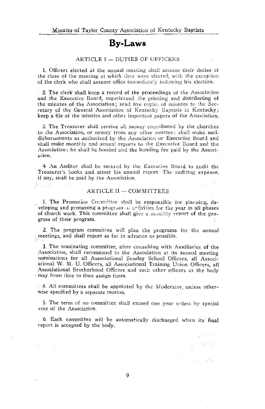## **By-Laws**

#### ARTICLE I - DUTIES OF OFFICERS

1. Officers elected at the annual meeting shall assume their duties at the close of the meeting at which they were elected, with the exception of the clerk who shall assume office immediately following his election.

2. The clerk shall keep a record of the proceedings of the Association and the Executive Board, superintend the printing and distributing of the minutes of the Association; send five copie, of minutes to the Secretary of the General Association of Kentucky Baptists in Kentucky; keep a file of the minutes and other important papers of the Association.

3. The Treasurer shall receive all money contributed by the churches to the Association, or money from any other sources: shall make such disbursements as authorized by the Association or Executive Board and shall make monthly and annual reports to the Executive Board and the Association; he shall be bonded and the bonding fee paid by the Association.

4. An Auditor shall be secured by the Executive Board to audit the Treasurer's books and attest his annual report. The auditing expense, if any, shall be paid by the Association.

#### ARTICLE II - COMMITTEES

I. The Promotion Committee shall be responsible for planning, developing and promoting a program of activities for the year in all phases of church work. This committee shall give a monthly report of the progress of their program.

2. The program committee will plan the programs for the annual meetings, and shall report as far in advance as possible.

3. The nominating committee, after consulting with Auxiliaries of the Association, shall recommend to the Association at its annual meeting nominations for all Associational Sunday School Officers, all Associational W. M. U. Officers, all Associational Training Union Officers, all Associational Brotherhood Officers and such other officers as the body imay from time to time assign them.

4. All committees shall be appointed by the Moderator, unless otherwise specified by a separate motion.

5. The term of no committee shall exceed one year unless by special vote of the Association.

6. Each committee will be automatically discharged when its final report is accepted by the body.

> **Contractor**  $1.777777$

> > **State State**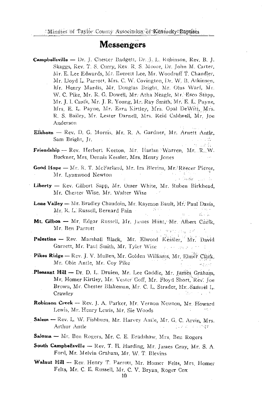## **Messengers**

- **Campbellsville --** Dr. J. Chester Badgett, Dr. J. L. Robinson, Rev. B. J. Skaggs, Rev. T. S. Curry, Rev. R. S. Moore, Dr. John M. Carter, Mr. E. Lee Edwards, Mr. Everett Lee, Mr. Woodruff T. Chandler, Mr. Lloyd L. Parrott, Mrs. C. W. Covington, Dr. W. B. Atkinson, Mr. Henry Mardis, Mr. Douglas Bright, Mr. Olus Warf, Mr. W. C. Pike, Mr. R. G. Dowell, Mr. Atha Neagle, Mr. Esco Stapp. Mr. J. I. Caulk, Mr. J. R. Young, Mr. Ray Smith, Mr. E. L. Payne, Mrs. E. L. Payne, Mr. Ezra Kirtley, Mrs. Opal DeWitt, Mrs. R. S. Bailey, Mr. Lester Darnell, Mrs. Reid Caldwell, Mr. loe Anderson
- Elkhorn Rev. D. G. Morris, Mr. R. A. Gardner, Mr. Arnett Antle, Sam Bright, Jr. ica in dir
- Friendship Rev. Herbert Keeton, Mr. Harlan Warren, Mr. R.W. Buckner, Mrs. Dennis Kessler, Mrs. Henry Jones

s est

- Good Hope Mr. R. T. McFarland, Mr. Ira Blevins, Mr. Reecer Pierce, Mr. Lynnwood Newton on Water and W
- Liberty Rev. Gilbert Sapp, Mr. Omer White, Mr. Ruben Birkhead, Mr. Chester Wise, Mr. Walter Wise
- Lone Valley Mr. Bradley Chaudoin, Mr. Raymon Bault, Mr. Paul Davis. **Service State** in Sagira Mr. R. L. Russell, Bernard Fain  $5.1.$
- Mt. Gilboa Mr. Edgar Russell, Mr. James Hünt, Mr. Albert Caulk, Mr. Ben Parrott นว่า หลุกระชน เรศ 2007
- Palestine Rev. Marshall Black, Mr. Elwood Kessler, Mr. David Garnett, Mr. Paul Smith, Mr. Tyler Wise and the service of
- Pikes Ridge Rev. J. V. Mullen, Mr. Golden Williams, Mr. Elmer Clark. Mr. Obie Antle, Mr. Coy Pike edisse
- Pleasant Hill Dr. D. L. Druien, Mr. Lee Gaddie, Mr. James Graham, Mr. Homer Kirtley, Mr. Vester Goff, Mr. Floyd Short, Rev. Joe Brown, Mr. Chester Blakeman, Mr. C. L. Strader, Mr. Samuel L. Crawley
- Robinson Creek -- Rev. J. A. Parker, Mr. Vernon Newton, Mr. Howard Lewis, Mr. Henry Lcwis, Mr. Sie Woods
- Salem -- Rev. L. W. Fishburn, Mr. Harvey Antle, Mr. G. C. Arvin, Mrs. Arthur Antle 1023-20174
- Saloma Mr. Ben Rogers, Mr. C. E. Bradshaw, Mrs. Ben Rogers
- South Campbellsville Rev. T. H. Harding, Mr. James Gray, Mr. S. A. Ford, Mr. Melvin Graham, Mr. W. T. Blevins
- Walnut Hill Rev. Henry T. Parrott, Mr. Homer Felts, Mrs. Homer Felts, Mr. C. E. Russell, Mr. C. V. Bryan, Roger Cox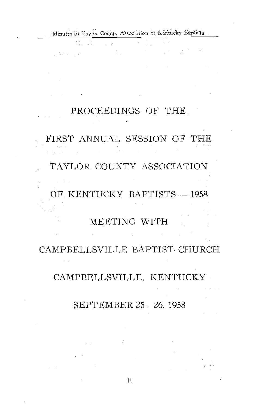$\sim$ 

 $\mathcal{L}_{\text{max}}$  and  $\mathcal{L}_{\text{max}}$ 

医心包 医单元试验

# PROCEEDINGS OF THE

# FIRST ANNUAL SESSION OF THE

# TAYLOR COUNTY ASSOCIATION

OF KENTUCKY BAPTISTS - 1958

# MEETING WITH

# CAMPBELLSVILLE BAPTIST CHURCH

## CAMPBELLSVILLE, KENTUCKY

# SEPTEMBER 25 - 26, 1958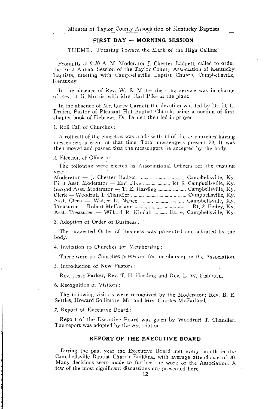### FIRST DAY -- MORNING SESSION

THEME: "Pressing Toward the Mark of the High Calling"

Promptly at 9:30 A. M. Moderator J. Chester Badgett, called to order the First Annual Session of the Taylor County Association of Kentucky Baptists, meeting with Campbellsville Baptist Church, Campbellsville, Kentucky.

In the absence of Rev. W. E. Miller the song service was in charge of Rev. D. G. Morris, with Mrs. Earl Pike at the piano.

In the absence of Mr. Larry Garnett the devotion was led by Dr. D. L. Druien, Pastor of Pleasant Hill Baptist Church, using a portion of first chanter book of Hebrews. Dr. Druien then led in prayer.

#### 1. Roll Call of Churches:

A roll call of the churches was made with 14 of the 15 churches having messengers present at that time. Total messengers present 79. It was then moved and passed that the messengers be accepted by the body.

#### 2. Election of Officers:

The following were elected as Associational Officers for the ensuing year:

| First Asst. Moderator $-$ Earl Pike $\ldots$ Rt. 5. Campbellsville, Ky. |  |
|-------------------------------------------------------------------------|--|
| Second Asst. Moderator $-$ T. E. Harding   Campbellsville, Ky.          |  |
|                                                                         |  |
| Asst. Clerk — Walter D. Nance   Campbellsville, Ky.                     |  |
|                                                                         |  |
| Asst. Treasurer - Willard R. Kindall  Rt. 4, Campbellsville, Ky.        |  |

3. Adoption of Order of Business:

The suggested Order of Business was presented and adopted by the body.

4. Invitation to Churches for Membership:

There were no Churches presented for membership in the Association.

5. Introduction of New Pastors:

Rev. Jesse Parker, Rev. T. H. Harding and Rev. L. W. Fishburn.

6. Recognition of Visitors:

The following visitors were recognized by the Moderator: Rev. B. E. Settles, Howard Gallimore, Mr. and Mrs. Charles McFarland.

7. Report of Executive Board:

Report of the Executive Board was given by Woodruff T. Chandler. The report was adopted by the Association.

#### REPORT OF THE EXECUTIVE BOARD

During the past year the Executive Board met every month in the Campbellsville Baptist Church Building, with average attendance of 20. Many decisions were made to further the work of the Association. A few of the most significant discussions are presented here.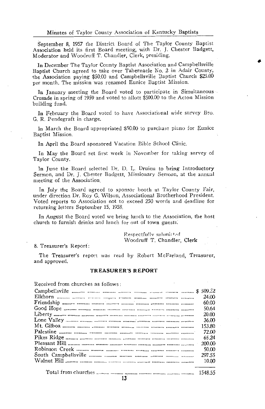September 8, 1957 the District Board of The Taylor County Baptist Association held its first Board meeting, with Dr. J. Chester Badgett, Moderator and Woodruff T. Chandler, Clerk, presiding.

In December The Taylor County Baptist Association and Campbellsville Baptist Church agreed to take over Tabernacle No. 2 in Adair County, the Association paying \$50.00 and Campbellsville Baptist Church \$25.00 per month. The mission was renamed Eunice Baptist Mission.

In January meeting the Board voted to participate in Simultaneous Crusade in spring of 1959 and voted to allott \$500.00 to the Acton Mission building fund.

In February the Board voted to have Associational wide survey Bro. G. R. Pendegraft in charge.

In March the Board appropriated \$50.00 to purchase piano for Eunice Bantist Mission.

In April the Board sponsored Vacation Bible School Clinic.

In May the Board set first week in November for taking survey of Taylor County.

In June the Board selected Dr. D. L. Druien to bring Introductory Sermon, and Dr. J. Chester Badgett, Missionary Sermon, at the annual meeting of the Association.

In July the Board agreed to sponsor booth at Taylor County Fair, under direction Dr. Roy G. Wilson, Associational Brotherhood President. Voted reports to Association not to exceed 250 words and deadline for returning letters September 15, 1958.

In August the Board voted we bring lunch to the Association, the host church to furnish drinks and lunch for out of town guests.

> Respectfully submitted Woodruff T. Chandler, Clerk

8. Treasurer's Report:

The Treasurer's report was read by Robert McFarland, Treasurer, and approved.

#### **TREASURER'S REPORT**

Received from churches as follows:

| 24.00  |
|--------|
| 60.00  |
| 50.64  |
| 20.00  |
| 36.00  |
| 153.80 |
| 72.00  |
| 65.24  |
| 200.00 |
| 50.00  |
| 297.55 |
| 10.00  |
|        |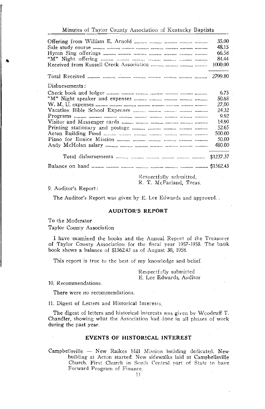|                                                                        | 35.00     |
|------------------------------------------------------------------------|-----------|
| Sale study course mann mining manns manner manner manner manner manner | 48.15     |
|                                                                        | 66.58     |
|                                                                        | 84.44     |
|                                                                        | 1000.00   |
|                                                                        |           |
| Disbursements:                                                         |           |
|                                                                        | 6.75      |
|                                                                        | 50.68     |
|                                                                        | 27.00     |
|                                                                        | 24.32     |
|                                                                        | 9.92      |
|                                                                        | 14.90     |
|                                                                        | 52.65     |
|                                                                        | 500.00    |
|                                                                        | 50.00     |
|                                                                        | 480.00    |
|                                                                        | \$1237.37 |
|                                                                        |           |
| $\mathbb{R}$ expectfully submitted                                     |           |

R. T. McFarland, Treas.

#### 9. Auditor's Report:

The Auditor's Report was given by E. Lee Edwards and approved.

#### **AUDITOR'S REPORT**

To the Moderator

Taylor County Association

I have examined the books and the Annual Report of the Treasurer of Taylor County Association for the fiscal year 1957-1958. The baük book shows a balance of \$1562.43 as of August 30, 1958.

This report is true to the best of my knowledge and belief.

Respectfully submitted E. Lee Edwards, Auditor

10. Recommendations.

There were no recommendations.

11. Digest of Letters and Historical Interests.

The digest of letters and historical interests was given by Woodruff T. Chandler, showing what the Association had done in all phases of work during the past year.

### **EVENTS OF HISTORICAL INTEREST**

Campbellsville - New Raikes Hill Mission building dedicated. New building at Acton started. New sidewalks laid at Campbellsville Church, First Church in South Central part of State to have Forward Program of Finance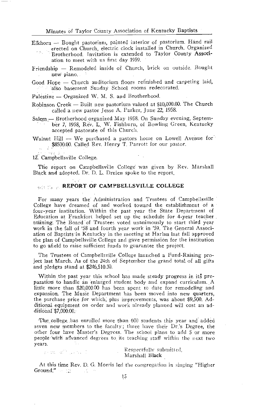Elkhorn - Bought pastorium, painted interior of pastorium. Hand rail erected on Church, electric clock installed in Church. Organized Brotherhood. Invitation is extended to Taylor County Association to meet with us first day 1959.

Friendship - Remodeled inside of Church, brick on outside. Bought new piano.

Good Hope - Church auditorium floors refinished and carpeting laid, also basement Sunday School rooms redecorated.

Palestine - Organized W. M. S. and Brotherhood.

- Robinson Creek Built new pastorium valued at \$10,000.00. The Church called a new pastor Jesse A. Parker, June 22, 1958.
- Salem Brotherhood organized May 1958. On Sunday evening, September 7, 1958, Rev. L. W. Fishburn, of Bowling Green, Kentucky accepted pastorate of this Church.
- Walnut Hill We purchased a pastors home on Lowell Avenue for \$8500.00. Called Rev. Henry T. Parrott for our pastor.

12. Campbellsville College.

The report on Campbellsville College was given by Rev. Marshall Black and adopted. Dr. D. L. Druien spoke to the report.

### **MARINE REPORT OF CAMPBELLSVILLE COLLEGE**

For many years the Administration and Trustees of Campbellsville College have dreamed of and worked toward the establishment of a four-year institution. Within the past year the State Department of Education at Frankfort helped set up the schedule for 4-year teacher. training. The Board of Trustees voted unanimously to start third year work in the fall of '58 and fourth year work in '59. The General Association of Baptists in Kentucky in the meeting at Harlan last fall approved the plan of Campbellsville College and gave permission for the institution to go afield to raise sufficient funds to guarantee the project.

The Trustees of Campbellsville College launched a Fund-Raising project last March. As of the 24th of September the grand total of all gifts and pledges stand at \$246,510.30.

Within the past year this school has made steady progress in its preparation to handle an enlarged student body and expand curriculum. A little more than \$20,000.00 has been spent to date for remodeling and expansion. The Music Department has been moved into new quarters, the purchase price for which, plus improvements, was about \$9,500. Additional equipment on order and work already planned will cost an additional \$7,000.00.

The college has enrolled more than 600 students this year and added seven new members to the faculty; three have their Dr.'s Degree, the other four have Master's Degrees. The school plans to add 5 or more people with advanced degrees to its teaching staff within the next two vears.

are an engine production

Respectfully submitted, Marshall Black

At this time Rev. D. G. Morris led the congregation in singing "Higher  $Group_{\mathbb{C}}^n \longrightarrow \mathbb{C}$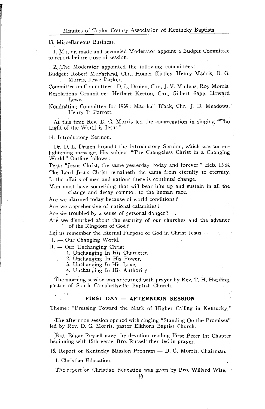#### 13. Miscellaneous Business.

1. Motion made and seconded Moderator appoint a Budget Committee to report before close of session.

2. The Moderator appointed the following committees:

Budget: Robert McFarland, Chr., Homer Kirtley, Henry Madris, D. G. Morris, Jesse Parker.

Committee on Committees : D. L. Druien, Chr., J. V. Mullens, Roy Morris. Resolutions Committee: Herbert Keeton, Chr., Gilbert Sapp, Howard

Lewis.

Nothinating Committee for 1959: Marshall Black, Chr., J. D. Meadows, Henry T. Parrott.

At this time Rev. D. G. Morris led the congregation in singing "The Light of the World is Jesus."

#### 14. Introductory Sermon.

Dr. D. L. Druien brought the Introductory Sermon, which was an enlightening message. His subject "The Changeless Christ in a Changing World." Outline follows:

Text: "Jesus Christ, the same yesterday, today and forever." Heb. 13:8. The Lord Jesus Christ remaineth the same from eternity to eternity. In the affairs of men and nations there is continual change.

Man must have something that will bear him up and sustain in all the change and decay common to the human race.

Are we alarmed today because of world conditions?

Are we apprehensive of national calamities?

Are we troubled by a sense of personal danger?

Are we disturbed about the security of our churches and the advance of the Kingdom of God?

Let us remember the Eternal Purpose of God in Christ Jesus - $I. -$ Our Changing World.

II. - Our Unchanging Christ

1. Unchanging In His Character.

2. Unchanging In His Power.

3. Unchanging In His Love.

4. Unchanging In His Authority.

The morning session was adjourned with prayer by Rev. T. H. Harding, pastor of South Campbellsville Baptist Church.

### FIRST DAY - AFTERNOON SESSION

Theme: "Pressing Toward the Mark of Higher Calling in Kentucky."

The afternoon session opened with singing "Standing On the Promises" led by Rev. D. G. Morris, pastor Elkhorn Baptist Church.

Bro. Edgar Russell gave the devotion reading First Peter 1st Chapter beginning with 15th verse. Bro. Russell then led in prayer.

15. Report on Kentucky Mission Program - D. G. Morris, Chairman.

1. Christian Education.

The report on Christian Education was given by Bro. Willard Wise.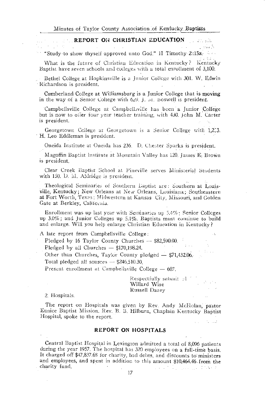#### REPORT ON CHRISTIAN EDUCATION s en alb

الكاليليات

 $\sim$  "Study to show thyself approved unto God." II Timothy 2:15a.

and which What is the future of Christian Education in Kentucky? Kentucky Baptist have seven schools and coileges with a total enrollment of 3,100.

Bethel College at Hopkinsville is a Junior College with 301. W. Edwin Richardson is president.

Cumberland College at Williamsburg is a Junior College that is moving in the way of a Semor College with  $629$ . L. at. boswell is president.

Campbellsville College at Campbellsville has been a Junior College but is now to offer four year teacher training, with 430, john M. Carter is president.

Georgetown College at Georgetown is a Senior College with 1,2.3. H. Leo Eddleman is president.

Oneida Institute at Oneida has 236. D. Chester Sparks is president.

Magoffin Baptist Institute at Mountain Valley has 120. James E. Brown is president

Clear Creek Baptist School at Pineville serves Ministerial Students with 150, D. M. Aldridge is president.

Theological Seminaries of Southern Laptist are: Southern at Louisville, Kentucky; New Orleans at New Orleans, Louisiana; Southeastern at Fort Worth, Texas; Midwestern at Kansas, City, Missouri, and Golden Gate at Berkley, California.

Enrollment was up last year with Seminaries up 5.4%; Senior Colleges up 3.0%; and Junior Colleges up 5.1%. Baptists must continue to build and enlarge. Will you help enlarge Christian Education in Kentucky?

A late report from Campbellsville College:

Pledged by 16 Taylor County Churches - \$82,590.00.

Pledged by all Churches  $-$  \$170,198.24.

Other than Churches, Taylor County pledged - \$71,432.06. Total pledged all sources - \$246,510.30.

Present enrollment at Campbellsville College  $-607$ .

Respectfully submit  $\mathbb{R}^{1}$   $\left(\begin{array}{ccc} 0 & 0 \\ 0 & 0 \end{array}\right)$ . Willard Wise Russell Dazey

**Service** 

 $\mathcal{L}(\mathcal{L})$  , and  $\mathcal{L}(\mathcal{L})$  , and  $\mathcal{L}(\mathcal{L})$ 

2. Hospitals.

 $\sqrt{2}$ 

 $\sim$ 

The report on Hospitals was given by Rev. Andy McHolan, pastor Eunice Baptist Mission. Rev. B. B. Hilburn, Chaplain Kentucky Baptist Hospital, spoke to the report. **State** 

#### REPORT ON HOSPITALS

Central Baptist Hospital in Lexington admitted a total of 8,096 patients during the year 1957. The hospital has 320 employees on a full-time basis. It charged off \$47,837.68 for charity, bad debts, and discounts to ministers and employees, and spent in addition to this amount \$10,464.46 from the charity fund. and the program than to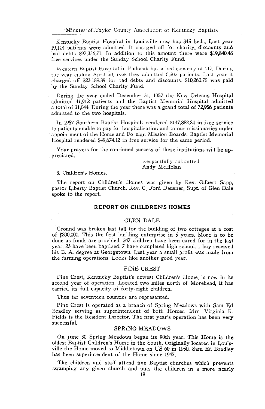Kentucky Baptist Hospital in Louisville now has 345 beds. Last year 19.114 patients were admitted. It charged off for charity, discounts and bad debts \$97,356.71. In addition to this amount there were \$19,840.48 free services under the Sunday School Charity Fund.

Western Baptist Hospital in Paducah has a bed capacity of 117. During the year ending April 50, 1958 they admitted 6,502 patients. Last year it charged off \$23,189.89 for bad debts and discounts. \$10,260.75 was paid by the Sunday School Charity Fund.

During the year ended December 31, 1957 the New Orleans Hospital admitted 41,912 patients and the Baptist Memorial Hospital admitted a total of 31,044. During the year there was a grand total of 72,956 patients admitted to the two hospitals.

In 1957 Southern Baptist Hospitals rendered \$147,882.84 in free service to patients unable to pay for hospitalization and to our missionaries under appointment of the Home and Foreign Mission Boards. Baptist Memorial Hospital rendered \$49,674.12 in free service for the same period.

Your prayers for the continued success of these institutions will be appreciated.

> Respectfully submitted, Andy McHolan

#### 3. Children's Homes.

The report on Children's Homes was given by Rev. Gilbert Sapp, pastor Liberty Baptist Church, Rev. C. Ford Deusner, Supt. of Glen Dale spoke to the report.

#### **REPORT ON CHILDREN'S HOMES**

#### **GLEN DALE**

Ground was broken last fall for the building of two cottages at a cost of \$200,000. This the first building enterprise in 5 years. More is to be done as funds are provided. 247 children have been cared for in the last year, 23 have been baptized. 7 have completed high school, 1 boy received his B. A. degree at Georgetown. Last year a small profit was made from the farming operations. Looks like another good year,

#### PINE CREST

Pine Crest, Kentucky Baptist's newest Children's Home, is now in its second year of operation. Located two miles north of Morehead, it has carried its full capacity of forty-eight children.

Thus far seventeen counties are represented.

Pine Crest is operated as a branch of Spring Meadows with Sam Ed Bradley serving as superintendent of both Homes. Mrs. Virginia R. Fields is the Resident Director. The first year's operation has been very successful.

### **SPRING MEADOWS**

On June 30 Spring Meadows began its 90th year. This Home is the oldest Baptist Children's Home in the South. Originally located in Louisville the Home moved to Middletown on US 60 in 1950. Sam Ed Bradley has been superintendent of the Home since 1947.

The children and staff attend five Baptist churches which prevents swamping any given church and puts the children in a more nearly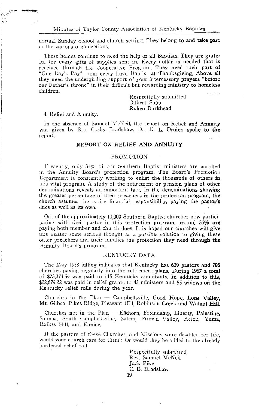normal Sunday School and church setting. They belong to and take part iil the various organizations.

These homes continue to need the help of all Baptists. They are grateful for many gifts of supplies sent in. Every dollar is needed that is received through the Cooperative Program. They need their part of "One Day's Pay" from every loyal Baptist at Thanksgiving, Above all they need the undergirding support of your intercessory prayers "before" our Father's throne" in their difficult but rewarding ministry to homeless children.

> Respectfully submitted Gilbert Sapp Ruben Burkhead

4. Relief and Annuity.

In the absence of Samuel McNeil, the report on Relief and Annuity was given by Bro. Cosby Bradshaw. Dr. D. L. Druien spoke to the report.

### REPORT ON RELIEF AND ANNUITY

#### PROMOTION

Presently, only 34% of our Southern Baptist ministers are enrolled in the Annuity Board's protection program. The Board's Promotion Department is constantly working to enlist the thousands of others in this vital program. A study of the retirement or pension plans of other denominations reveals an important fact. In the denominations showing the greater percentage of their preachers in the protection program, the church assumes the entire financial responsibility, paying the pastor's dues as well as its own.

Out of the approximately 11,000 Southern Baptist churches now participating with their pastor in this protection program, around 36% are paying both member and church dues. It is hoped our churches will give this matter some serious thought as a possible solution to giving these other preachers and their families the protection they need through the Annuity Board's program.

#### KENTUCKY DATA

The May 1958 billing indicates that Kentucky has 639 pastors and 795 churches paying regularly into the retirement plans. During 1957 a total of \$73,374.54 was paid to 115 Kentucky annuitants. In addition to this. \$22,679.22 was paid in relief grants to 42 ministers and 55 widows on the Kentucky relief rolls during the year.

Churches in the Plan - Campbellsville, Good Hope, Lone Valley, Mt. Gilboa, Pikes Ridge, Pleasant Hill, Robinson Creek and Walnut Hill.

Churches not in the Plan - Elkhorn, Friendship, Liberty, Palestine, Saloma, South Campbellsville, Salem, Pitman Valley, Acton, Yuma, Raikes Hill, and Eunice.

If the pastors of these Churches, and Missions were disabled for life, would your church care for them? Or would they be added to the already burdened relief roll.

> Respectfully submitted. Rev. Samuel McNeil Jack Pike C. E. Bradshaw 19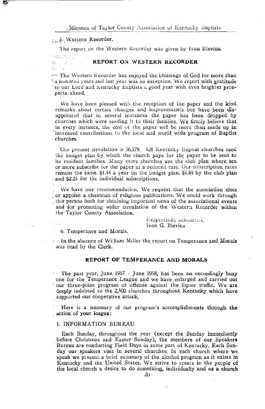### 5. Western Recorder.

The report on the Western Recorder was given by Ivan Blevins.

keddom ins William College âs v

#### REPORT ON WESTERN RECORDER

The Western Recorder has enjoyed the blessings of God for more than a hundred years and last year was no exception. We report with gratitude to our Lord and Kentucky Baptists a good year with even brighter prospects ahead.

We have been pleased with the reception of the paper and the kind remarks about certain changes and improvements but have been disappointed that in several instances the paper has been dropped by churches which were sending it to their families. We firmly believe that in every instance, the cost of the paper will be more than made up in increased contributions to the local and world wide program of Baptist churches.

Our present circulation is 56,579. 428 Kentucky Baptist churches used the budget plan by which the church pays for the paper to be sent to its resident families. Many more churches use the club plan where ten or more subscribe for the paper at a reduced rate. Our subscription rates remain the same. \$1.44 a year on the budget plan, \$1.80 by the club plan cand \$2.25 for the individual subscriptions.

We have one recommendation. We request that the association elect or appoint a chairman of religious publications. We could work through this person both for obtaining important news of the associational events and for promoting wider circulation of the Western Recorder within the Taylor County Association.

> Respectfully submitted, Ivan G. Blevins

6. Temperance and Morals.

a cln the absence of William Miller the report on Temperance and Morals was read by the Clerk.

### REPORT OF TEMPERANCE AND MORALS

The past year, June 1957 - June 1958, has been an exceedingly busy one for the Temperance League and we have enlarged and carried out our three-point program of offense against the liquor traffic. We are deeply indebted to the 2,500 churches throughout Kentucky which have supported our cooperative attack.

Here is a summary of our program's accomplishments through the action of your league:

#### 1. INFORMATION BUREAU

Each Sunday, throughout the year (except the Sunday immediately before Christmas and Easter Sunday), the members of our Speakers Bureau are conducting Field Days in some part of Kentucky. Each Sunday our speakers visit in several churches. In each church where we speak we present a brief summary of the alcohol program as it exists in Kentucky and the United States. We strive to create in the people of the local church a desire to do something, individually and as a church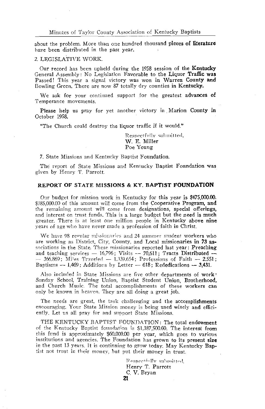about the problem. More than one hundred thousand pieces of literature have been distributed in the past year.

#### 2. LEGISLATIVE WORK.

Our record has been upheld during the 1958 session of the Kentucky General Assembly: No Legislation Favorable to the Liquor Traffic was Passed! This year a signal victory was won in Warren County and Bowling Green. There are now 87 totally dry counties in Kentucky.

We ask for your continued support for the greatest advances of Temperance movements.

Please help us pray for yet another victory in Marion County in October 1958.

"The Church could destroy the liquor traffic if it would."

Respectfully submitted. W. E. Miller Poe Young

7. State Missions and Kentucky Baptist Foundation.

The report of State Missions and Kentucky Baptist Foundation was given by Henry T. Parrott.

#### REPORT OF STATE MISSIONS & KY. BAPTIST FOUNDATION

Our budget for mission work in Kentucky for this year is \$475,000.00. \$385,000.00 of this amount will come from the Cooperative Program, and the remaining amount will come from designations, special offerings, and interest on trust funds. This is a large budget but the need is much greater. There is at least one million people in Kentucky above nine years of age who have never made a profession of faith in Christ.

We have 98 regular missionaries and 24 summer student workers who are working as District, City, County, and Local missionaries in 73 associations in the State. These missionaries reported last year: Preaching and teaching services  $-$  16,796; Visits  $-$  70,611; Tracts Distributed  $-366,869$ ; Miles Traveled  $-1,339,654$ ; Professions of Faith  $-2.551$ ; Baptisms  $-$  1,469; Additions by Letter  $-$  618; Rededications  $-$  3,431.

Also included in State Missions are five other departments of work: Sunday School, Training Union, Baptist Student Union, Brotherhood, and Church Music. The total accomplishments of these workers can only be known in heaven. They are all doing a great job.

The needs are great, the task challenging and the accomplishments encouraging. Your State Mission money is being used wisely and efficiently. Let us all pray for and support State Missions.

THE KENTUCKY BAPTIST FOUNDATION: The total endowment of the Kentucky Baptist foundation is \$1,387,500.00. The interest from this fund is approximately \$60,000.00 per year, which goes to various institutions and agencies. The Foundation has grown to its present size in the past 13 years. It is continuing to grow today. May Kentucky Baptist not trust in their money, but put their money in trust.

> Respectfully submitted. Henry T. Parrott C. V. Bryan 21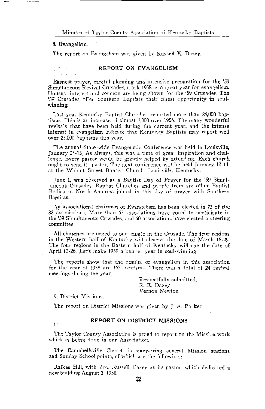#### 8. Evangelism.

 $\mathbb{R}^n$  . The  $\mathbb{R}^n$ 

The report on Evangelism was given by Russell E. Dazey.

### REPORT ON EVANGELISM

Earnest prayer, careful planning and intensive preparation for the '59 Simultaneous Revival Crusades, mark 1958 as a great year for evangelism. Unusual interest and concern are being shown for the '59 Crusades. The '59 Crusades offer Southern Baptists their finest opportunity in soulwinning.

Last year Kentucky Baptist Churches reported more than 24,000 baptisms. This is an increase of almost 2,000 over 1956. The many wonderful revivals that have been held during the current year, and the intense interest in evangelism indicate that Kentucky Baptists may report well over 25,000 baptisms this year.

The annual State-wide Evangelistic Conference was held in Louisville. January 13-15. As always, this was a time of great inspiration and challenge. Every pastor would be greatly helped by attending. Each church ought to send its pastor. The next conference will be held January 12-14, at the Walnut Street Baptist Church, Louisville, Kentucky,

June 1, was observed as a Baptist Day of Prayer for the '59 Simultaneous Crusades. Baptist Churches and people from six other Baptist Bodies in North America joined in this day of prayer with Southern Baptists.

An associational chairman of Evangelism has been elected in 75 of the 82 associations. More than 65 associations have voted to participate in the '59 Simultaneous Crusades, and 60 associations have elected a steering committee.

All churches are urged to participate in the Crusade. The four regions in the Western half of Kentucky will observe the date of March 15-29. The four regions in the Eastern half of Kentucky will use the date of April 12-26. Let's make 1959 a banner year in soul-winning.

The reports show that the results of evangelism in this association for the year of 1958 are 163 baptisms. There was a total of 24 revival meetings during the year.

> Respectfully submitted. R. E. Dazey Vernon Newton

9. District Missions.

Expertise

The report on District Missions was given by J. A. Parker.

### REPORT ON DISTRICT MISSIONS

The Taylor County Association is proud to report on the Mission work which is being done in our Association.

The Campbellsville Church is sponsoring several Mission stations and Sunday School points, of which are the following:

Raikes Hill, with Bro. Russell Dazey as its pastor, which dedicated a new building August 3, 1958.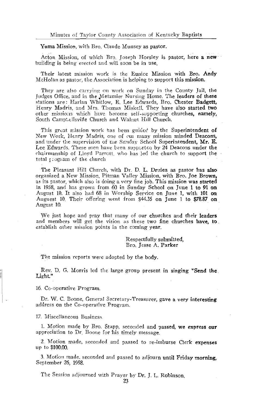Yuma Mission, with Bro. Claude Munsey as pastor.

Acton Mission, of which Bro. Joseph Horsley is pastor, here a new building is being erected and will soon be in use.

Their latest mission work is the Eunice Mission with Bro. Andy McHolan as pastor, the Association is helping to support this mission.

They are also carrying on work on Sunday in the County Jail, the Judges Office, and in the Metzmier Nursing Home. The leaders of these stations are: Harlan Whitlow, E. Lee Edwards, Bro. Chester Badgett, Henry Madris, and Mrs. Thomas Miskell. They have also started two other missions which have become self-supporting churches, namely, South CampLellsville Church and Walnut Hill Church.

This great mission work has been guided by the Superintendent of New Work, Henry Madris, one of our many mission minded Deacons. and under the supervision of the Sunday School Superintendent, Mr. E. Lee Edwards. These men have been supported by 24 Deacons under the chairmanship of Lloyd Parrott, who has led the church to support the total togram of the church

The Pleasant Hill Church, with Dr. D. L. Druien as pastor has also organized a New Mission, Pitman Valley Mission, with Bro. Joe Brown. as its pastor, which also is doing a very fine job. This mission was started in 1958, and has grown from 60 in Sunday School on June 1 to 91 on August 10. It also had 68 in Worship Service on June 1, with 101 on Auguest 10. Their offering went from \$44.35 on June 1 to \$78.87 on August 10.

We just hope and pray that many of our churches and their leaders and members will get the vision as these two fine churches have, to establish other mission points in the coming vear.

> Respectfully submitted. Bro. Jesse A. Parker

The mission reports were adopted by the body.

Rev. D. G. Morris led the large group present in singing "Send the Light."

16. Co-operative Program.

Dr. W. C. Boone. General Secretary-Treasurer, gave a very interesting address on the Co-operative Program.

17. Miscellaneous Business.

1. Motion made by Bro. Stapp, seconded and passed, we express our appreciation to Dr. Boone for his timely message.

2. Motion made, seconded and passed to re-imburse Clerk expenses up to \$100.00.

3. Motion made, seconded and passed to adjourn until Friday morning. September 26, 1958.

The Session adjourned with Prayer by Dr. J. L. Robinson,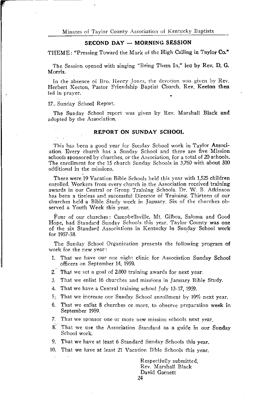#### SECOND DAY - MORNING SESSION

THEME: "Pressing Toward the Mark of the High Calling in Taylor Co."

The Session opened with singing "Bring Them In," led by Rev. D. G. Morris.

In the absence of Bro. Henry Jones, the devotion was given by Rev. Herbert Keeton, Pastor Friendship Baptist Church, Rev. Keeton then led in prayer.

17. Sunday School Report.

The Sunday School report was given by Rev. Marshall Black and adopted by the Association.

#### REPORT ON SUNDAY SCHOOL

This has been a good year for Sunday School work in Taylor Association. Every church has a Sunday School and there are five Mission schools sponsored by churches, or the Association, for a total of 20 schools. The enrollment for the 15 church Sunday Schools in 3,760 with about 300 additional in the missions.

There were 19 Vacation Bible Schools held this year with 1.525 children enrolled. Workers from every church in the Association received training awards in our Central or Group Training Schools. Dr. W. B. Atkinson has been a tireless and successful Director of Training. Thirteen of our churches held a Bible Study week in January. Six of the churches observed a Youth Week this year.

Four of our churches: Campbellsville, Mt. Gilboa, Saloma and Good Hope, had Standard Sunday Schools this year. Taylor County was one of the six Standard Associations in Kentucky in Sunday School work for 1957-58.

The Sunday School Organization presents the following program of work for the new year:

- 1. That we have our one night clinic for Association Sunday School officers on September 14, 1959.
- 2. That we set a goal of 2,000 training awards for next year.
- 3. That we enlist 16 churches and missions in January Bible Study.
- 4. That we have a Central training school July 13-17, 1959.
- 5. That we increase our Sunday School enrollment by 10% next year.
- That we enlist 8 churches or more, to observe preparation week in 6. September 1959.
- 7. That we sponsor one or more new mission schools next year.
- $8^{\circ}$ That we use the Association Standard as a guide in our Sunday School work.
- 9. That we have at least 6 Standard Sunday Schools this year.
- 10. That we have at least 21 Vacation Bible Schools this year.

Respectfully submitted Rev. Marshall Black David Garnett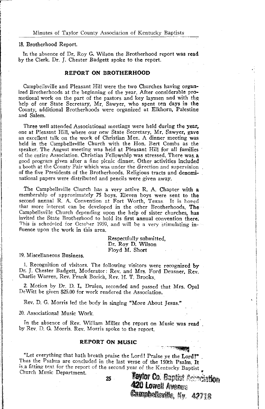#### 18. Brotherhood Report.

In the absence of Dr. Roy G. Wilson the Brotherhood report was read by the Clerk, Dr. J. Chester Badgett spoke to the report.

### **REPORT ON BROTHERHOOD**

Campbellsville and Pleasant Hill were the two Churches having organized Brotherhoods at the beginning of the year. After considerable promotional work on the part of the pastors and key laymen and with the help of our State Secretary, Mr. Sawyer, who spent ten days in the County, additional Brotherhoods were organized at Elkhorn. Palestine and Salem.

Three well attended Associational meetings were held during the year, one at Pleasant Hill, where our new State Secretary, Mr. Sawyer, gave an excellent talk on the work of Christian Men. A dinner meeting was held in the Campbellsville Church with the Hon. Bert Combs as the speaker. The August meeting was held at Pleasant Hill for all families of the entire Association. Christian Fellowship was stressed. There was a good program given after a fine picnic dinner. Other activities included a booth at the County Fair which was under the direction and supervision. of the five Presidents of the Brotherhoods. Religious tracts and denominational papers were distributed and pencils were given away.

The Campbellsville Church has a very active R. A. Chapter with a membership of approximately 75 boys. Eleven boys were sent to the second annual R. A. Convention at Fort Worth, Texas. It is honed that more interest can be developed in the other Brotherhoods. The Campbellsville Church depending upon the help of sister churches, has invited the State Brotherhood to hold its first annual convention there. This is scheduled for October 1959, and will be a very stimulating influence upon the work in this area.

> Respectfully submitted, Dr. Roy D. Wilson Floyd M. Short

#### 19. Miscellaneous Business.

1. Recognition of visitors. The following visitors were recognized by Dr. J. Chester Badgett, Moderator: Rev. and Mrs. Ford Deusner, Rev. Charlie Warren, Rev. Frank Borich, Rev. H. T. Brooks.

2. Motion by Dr. D. L. Druien, seconded and passed that Mrs. Opal DeWitt be given \$25.00 for work rendered the Association.

Rev. D. G. Morris led the body in singing "More About Jesus."

20. Associational Music Work.

In the absence of Rev. William Miller the report on Music was read by Rev. D. G. Morris. Rev. Morris spoke to the report.

#### **REPORT ON MUSIC**

"Let everything that hath breath praise the Lord! Praise ye the Lord!" Thus the Psalms are concluded in the last verse of the 150th Psalm. It is a fitting text for the report of the second year of the Kentucky Baptist Church Music Department.

25

Taytor Co. Baptist Accordidon 420 Lowell Avenue Campbelleville, Kv. 42718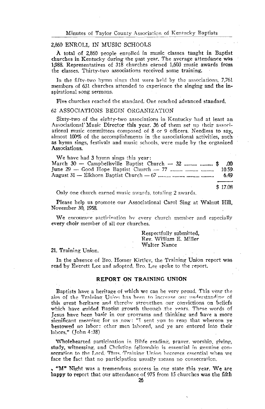### 2,860 ENROLL IN MUSIC SCHOOLS

A total of 2,860 people enrolled in music classes taught in Baptist churches in Kentucky during the past year. The average attendance was 1,988. Representatives of 318 churches earned 1,603 music awards from the classes. Thirty-two associations received some training.

In the fifty-two hymn sings that were held by the associations, 7,761 members of 631 churches attended to experience the singing and the inspirational song sermons.

Five churches reached the standard. One reached advanced standard.

#### 62 ASSOCIATIONS BEGIN ORGANIZATION

Sixty-two of the eighty-two associations in Kentucky had at least an Associational Music Director this year. 36 of them set up their associational music committees composed of 8 or 9 officers. Needless to say, almost 100% of the accomplishments in the associational activities, such as hymn sings, festivals and music schools, were made by the organized Associations.

| We have had 3 hymn sings this year:                               |           |
|-------------------------------------------------------------------|-----------|
| March $30$ — Campbellsville Baptist Church — 32 $\ddot{\text{s}}$ | .00       |
|                                                                   | $10.59 -$ |
|                                                                   | 6.49      |
|                                                                   |           |
|                                                                   | \$17 O.R  |

Only one church earned music awards, totaling 2 awards.

Please help us promote our Associational Carol Sing at Walnut Hill. November 30, 1958.

We encourage particination by every church member and especially every choir member of all our churches.

> Respectfully submitted. Rev. William E. Miller Walter Nance

#### 21. Training Union.

In the absence of Bro. Homer Kirtley, the Training Union report was read by Everett Lee and adopted. Bro. Lee spoke to the report.

### REPORT ON TRAINING UNION

Baptists have a heritage of which we can be very proud. This vear the aim of the Training Union has been to increase our understanding of this great heritage and thereby strengthen our convictions on beliefs which have guided Baptist growth through the years. These words of Jesus have been basic in our programs and thinking and have a more significant meaning for us now: "I sent you to reap that whereon ye bestowed no labor: other men labored, and ye are entered into their labors." (John 4:38)

Wholehearted particination in Bible reading, praver, worship, giving, study, witnessing, and Christian fellowship is essential in genuine consecration to the Lord. Thus, Training Union becomes essential when we face the fact that no participation usually means no consecration.

"M" Night was a tremendous success in our state this year. We are happy to report that our attendance of 975 from 15 churches was the fifth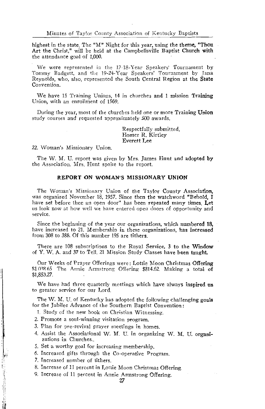highest in the state The "M" Night for this year, using the theme, "Thou Art the Christ." will be held at the Campbellsville Baptist Church with the attendance goal of 1,000.

We were represented in the 17-18-Year Speakers' Tournament by Tommy Badgett, and the 19-24-Year Speakers' Tournament by Jana Reynolds, who, also, represented the South Central Region at the State Convention.

We have 15 Training Unions, 14 in churches and 1 mission Training Union, with an enrollment of 1569.

During the year, most of the churches held one or more Training Union study courses and requested approximately 500 awards.

> Respectfully submitted. Homer R. Kirtley **Everett Lee**

22. Woman's Missionary Union.

The W. M. U. report was given by Mrs. James Hunt and adopted by the Association. Mrs. Hunt spoke to the report.

#### REPORT ON WOMAN'S MISSIONARY UNION

The Woman's Missionary Union of the Taylor County Association, was organized November 18, 1957. Since then the watchword "Behold, I have set before thee an open door" has been repeated many times Let us look now at how well we have entered open doors of opportunity and service.

Since the beginning of the year our organizations, which numbered 18, have increased to 21. Membership in these organizations, has increased from 308 to 388. Of this number 195 are tithers.

There are 108 subscriptions to the Royal Service, 3 to the Window of Y. W. A. and 37 to Tell. 21 Mission Study Classes have been taught.

Our Weeks of Prayer Offerings were: Lottie Moon Christmas Offering \$103865 The Annie Armstrong Offering \$814.62. Making a total of \$1,853.27.

We have had three quarterly meetings which have always inspired us to greater service for our Lord.

The W. M. U. of Kentucky has adopted the following challenging goals for the Jubilee Advance of the Southern Baptist Convention:

1. Study of the new book on Christian Witnessing.

2. Promote a soul-winning visitation program.

3. Plan for pre-revival prayer meetings in homes.

- 4. Assist the Associational W. M. U. in organizing W. M. U. organizations in Churches.
- 5. Set a worthy goal for increasing membership.
- 6. Increased gifts through the Co-operative Program.
- 7. Increased number of tithers

**Company of the Company of Company's Company's Company's Company's Company's Company's Company's Company's Company's Company's Company's Company's Company's Company's Company's Company's Company's Company's Company's Compa** 

- 8. Increase of 11 percent in Lottie Moon Christmas Offering.
- 9. Increase of 11 percent in Annie Armstrong Offering.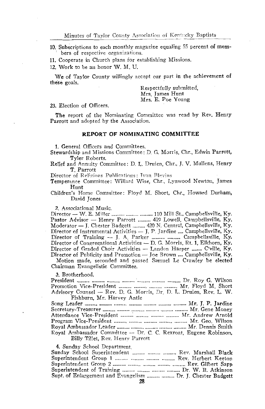10. Subscriptions to each monthly magazine equaling 55 percent of members of respective organizations.

11. Cooperate in Church plans for establishing Missions.

12. Work to be an honor W. M. U.

We of Taylor County willingly accept our part in the achievement of these goals.

Respectfully submitted. Mrs. James Hunt Mrs. E. Poe Young

#### 23. Election of Officers.

The report of the Nominating Committee was read by Rev. Henry Parrott and adopted by the Association.

#### REPORT OF NOMINATING COMMITTEE

1. General Officers and Committees.

Stewardship and Missions Committee: D. G. Morris, Chr., Edwin Parrott, Tyler Roberts.

Relief and Annuity Committee: D. L. Druien, Chr., J. V. Mullens, Henry T. Parrott

Director of Religious Publications: Ivan Blevins

Temperance Committee: Willard Wise, Chr., Lynwood Newton, James Hunt

Children's Home Committee: Floyd M. Short, Chr., Howard Durham, David Jones

2. Associational Music.

Director - W. E. Miller .......... .......... .......... 110 Mill St., Campbellsville, Ky. Pastor Advisor - Henry Parrott .......... 419 Lowell, Campbellsville, Ky. Moderator - J. Chester Badgett .......... 420 N. Central, Campbellsville, Ky. Director of Instrumental Activities - J. P. Jardine .... Campbellsville, Ky. Director of Graded Choir Activities - Landon Harper ........ C'ville, Ky. Director of Publicity and Promotion - Joe Brown .... Campbellsville, Ky.

Motion made, seconded and passed Samuel Le Crawley be elected Chairman Evangelistic Committee.

3. Brotherhood.

| Promotion Vice-President    Mr. Floyd M. Short                     |  |  |
|--------------------------------------------------------------------|--|--|
| Advisory Counsel - Rev. D. G. Morris, Dr. D. L. Druien, Rev. L. W. |  |  |
| Fishburn, Mr. Harvey Antle                                         |  |  |

| Roval Ambassador Committee -- Dr. C. C. Rexroat, Eugene Robinson, |  |
|-------------------------------------------------------------------|--|
| Billy Tillet, Rev. Henry Parrott                                  |  |

4. Sunday School Department

| Sunday School Superintendent    Rev. Marshall Black          |
|--------------------------------------------------------------|
| Superintendent Group 1    Rev. Herbert Keeton                |
|                                                              |
|                                                              |
| Supt. of Enlargement and Evangelism   Dr. J. Chester Badgett |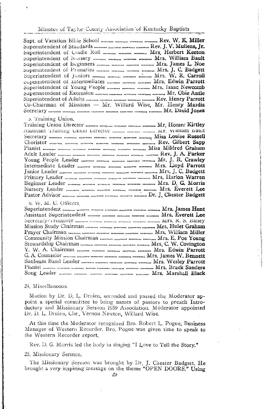Superintendent of Standards .......... .......... ............ Rev. J. V. Mullens, Jr. Superintendent of Cradle Roll .......... .......... ......... Mrs. Herbert Keeton Superintendent of Primaries .......... ........... .......... Mrs. J. C. Badgett Superintendent of Intermediates .......... .......... .......... Mrs. Edwin Parrott Co-Chairman of Missions - Mr. Willard Wise, Mr. Henry Mardis 5. Training Union. Assistant training Union Director .......... .......... m.m. Mr. William bault 6. W. M. U. Officers 

24. Miscellaneous.

Motion by Dr. D. L. Druien, seconded and passed the Moderator appoint a special committee to bring names of pastors to preach Introductory and Missionary Sermon 1959 Association. Moderator appointed Dr. D. L. Druien, Chr., Vernon Newton, Willard Wise.

At this time the Moderator recognized Bro. Robert L. Pogue, Business Manager of Western Recorder. Bro. Pogue was given time to speak to the Western Recorder report.

Rev. D. G. Morris led the body in singing "I Love to Tell the Story."

25. Missionary Sermon.

The Missionary Sermon was brought by Dr. J. Chester Badgett, He brought a very inspiring message on the theme "OPEN DOORS." Using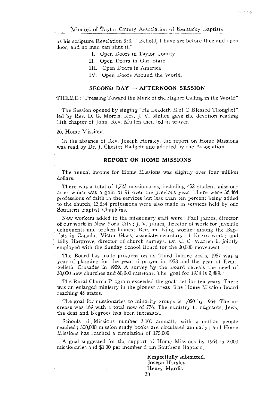na misingi

as his scripture Revelation 3:8, " Behold, I have set before thee and open door, and no man can shut it."

- I. Open Doors in Taylor County
- Il. Open Doors in Our State
- III. Open Doors in America
- IV. Open Door's Around the World.

#### SECOND DAY - AFTERNOON SESSION

THEME: "Pressing Toward the Mark of the Higher Calling in the World"

The Session opened by singing "He Leadeth Me! O Blessed Thought!" led by Rev. D. G. Morris. Kev. J. V. Mullen gave the devotion reading 11th chapter of John, Rev. Mullen then led in prayer.

#### 26. Home Missions.

In the absence of Rev. Joseph Horsley, the report on Home Missions was read by Dr. J. Chester Badgett and adopted by the Association.

#### **REPORT ON HOME MISSIONS**

The annual income for Home Missions was slightly over four million dollars.

There was a total of 1,723 missionaries, including 452 student missionaries which was a gain of 91 over the previous year. There were 36,464 professions of faith in the services but less than ten percent being added to the church, 13,534 professions were also made in services held by our Southern Baptist Chaplains.

New workers added to the missionary staff were: Paul James, director of our work in New York City; J. V. James, director of work for juvenile delinquents and broken homes; Bertram King, worker among the Baptists in Canada; Victor Glass, associate secretary of Negro work; and Billy Hargrove, director of church surveys. Dr. C. C. Warren is jointly employed with the Sunday School Board for the 30,000 movement.

The Board has made progress on its Third Jubilee goals. 1957 was a year of planning for the year of prayer in 1958 and the year of Evangelistic Crusades in 1959. A survey by the Board reveals the need of  $\frac{30,000}{2}$  new churches and 60,000 missions. The goal for 1958 is 2,888.

The Rural Church Program exceeded the goals set for ten years. There was an enlarged ministry in the pioneer areas. The Home Mission Board reaching 43 states.

The goal for missionaries to minority groups is 1,050 by 1964. The increase was 169 with a total now of 776. The ministry to migrants, Jews, the deaf and Negroes has been increased.

Schools of Missions number 3,000 annually with a million people reached; 300,000 mission study books are circulated annually; and Home Missions has reached a circulation of 175,000.

A goal suggested for the support of Home Missions by 1964 is 2,000 missionaries and \$1.00 per member from Southern Baptists.

> Respectfully submitted, Joseph Horsley Henry Mardis 30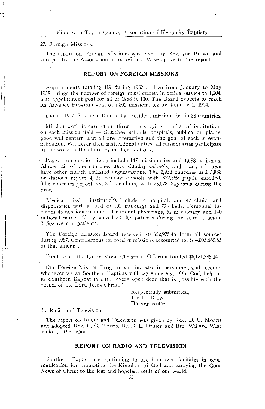#### 27. Foreign Missions.

The report on Foreign Missions was given by Rev. Joe Brown and adopted by the Association. Bro. Willard Wise spoke to the report.

#### REPORT ON FOREIGN MISSIONS

Appointments totaling 109 during 1957 and 26 from January to May 1958, brings the number of foreign missionaries in active service to 1,204. The appointment goal for all of 1958 is 130. The Board expects to reach its Advance Program goal of 1,800 missionaries by January 1, 1964.

During 1957, Southern Baptist had resident missionaries in 38 countries.

Mis ion work is carried on through a varying number of institutions on each mission field - churches, schools, hospitals, publication plants, good will centers. But all are interactive and the goal of each is evangelization. Whatever their institutional duties, all missionaries participate in the work of the churches in their stations.

Pastors on mission fields include 147 missionaries and 1,688 nationals. Almost all of the churches have Sunday Schools, and many of them have other church affiliated organizations. The 2,938 churches and 5,888 outstations report 4,138 Sunday Schools with 322,369 pupils enrolled. The churches report 383,092 members, with 25,078 baptisms during the year.

Medical mission institutions include 14 hospitals and 42 clinics and dispensaries with a total of 102 buildings and 776 beds. Personnel includes 43 missionaries and 43 national physicians, 61 missionary and 140 national nurses. They served 221,468 patients during the year of whom 25.502 were in-patients.

The Foreign Mission Board received \$14,352,975.46 from all sources during 1957. Contributions for foreign missions accounted for \$14,003,660.63 of that amount.

Funds from the Lottie Moon Christmas Offering totaled \$6,121,585.14.

Our Foreign Mission Program will increase in personnel, and receipts whenever we as Southern Baptists will say sincerely, "Oh, God, help us as Southern Baptist to enter every open door that is possible with the gospel of the Lord Jesus Christ."

> Respectfully submitted. Ioe H. Brown Harvey Antle

#### 28. Radio and Television.

The report on Radio and Television was given by Rev. D. G. Morris and adopted. Rev. D. G. Morris, Dr. D. L. Druien and Bro. Willard Wise spoke to the report.

#### REPORT ON RADIO AND TELEVISION

Southern Baptist are continuing to use improved facilities in communication for promoting the Kingdom of God and carrying the Good News of Christ to the lost and hopeless souls of our world.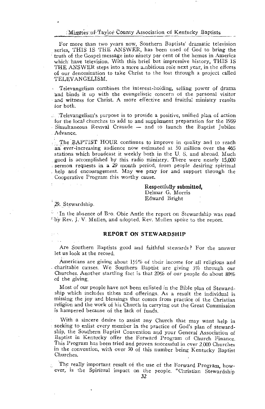For more than two years now, Southern Baptists' dramatic television series. THIS IS THE ANSWER, has been used of God to bring the truth of the Gospel message into ninety per cent of the homes in America which have television. With this brief but impressive history, THIS IS THE ANSWER steps into a more ambitious role next year, in the efforts of our denomination to take Christ to the lost through a project called TELEVANGELISM.

Televangelism combines the interest-holding, selling power of drama and binds it up with the evangelistic concern of the personal visitor and witness for Christ. A more effective and fruitful ministry results for both.

... Televangelism's purpose is to provide a positive, unified plan of action for the local churches to add to and supplement preparation for the 1959 Simultaneous Revival Crusade - and to launch the Baptist Jubilee Advance.

The BAPTIST HOUR continues to improve in quality and to reach an ever-increasing audience now estimated at 50 million over the 465 stations which broadcast it weekly both in the U.S. and abroad. Much good is accomplished by this radio ministry. There were nearly 15,000 sermon requests in a 29 month period, from people desiring spiritual help and encouragement. May we pray for and support through the Cooperative Program this worthy cause.

#### Respectfully submitted, Delmar G. Morris Edward Bright

29. Stewardship.

In the absence of Bro. Obie Antle the report on Stewardship was read <sup>1</sup> by Rev. I. V. Mullen, and adopted. Rev. Mullen spoke to the report.

#### **REPORT ON STEWARDSHIP**

Are Southern Baptists good and faithful stewards? For the answer let us look at the record.

Americans are giving about  $1\frac{1}{2}\%$  of their income for all religious and charitable causes. We Southern Baptist are giving 3% through our Churches. Another startling fact is that 20% of our people do about 80% of the giving.

Most of our people have not been enlisted in the Bible plan of Stewardship which includes tithes and offerings. As a result the individual is missing the joy and blessings that comes from practice of the Christian religion and the work of his Church in carrying out the Great Commission is hampered because of the lack of funds.

With a sincere desire to assist any Church that may want help in seeking to enlist every member in the practice of God's plan of stewardship, the Southern Baptist Convention and your General Association of Baptist in Kentucky offer the Forward Program of Church Finance. This Program has been tried and proven successful in over 2,000 Churches in the convention, with over 50 of this number being Kentucky Baptist Churches.

The really important result of the use of the Forward Program, however, is the Spiritual impact on the people. "Christian Stewardship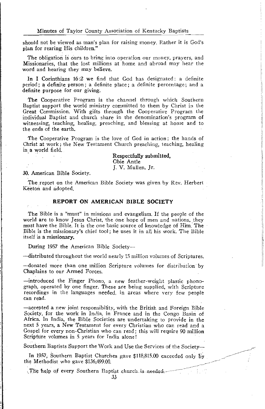should not be viewed as man's plan for raising money. Rather it is God's plan for rearing His children."

The obligation is ours to bring into operation our money, prayers, and Missionaries, that the lost millions at home and abroad may hear the word and hearing they may believe.

In I Corinthians 16:2 we find that God has designated: a definite period; a definite person; a definite place; a definite percentage; and a definite purpose for our giving.

The Cooperative Program is the channel through which Southern Baptist support the world ministry committed to them by Christ in the Great Commission. With gifts through the Cooperative Program the individual Baptist and church share in the denomination's program of witnessing, teaching, healing, preaching, and blessing at home and to the ends of the earth.

The Cooperative Program is the love of God in action; the hands of Christ at work; the New Testament Church preaching, teaching, healing in a world field.

> Respectfully submitted, Obie Antle J. V. Mullen, Jr.

30. American Bible Society.

The report on the American Bible Society was given by Rev. Herbert Keeton and adopted

#### REPORT ON AMERICAN BIBLE SOCIETY

The Bible is a "must" in missions and evangelism. If the people of the world are to know Jesus Christ, the one hope of men and nations, they must have the Bible. It is the one basic source of knowledge of Him. The Bible is the missionary's chief tool; he uses it in all his work. The Bible itself is a missionary.

During 1957 the American Bible Society--

--distributed throughout the world nearly 15 million volumes of Scriptures.

-donated more than one million Scripture volumes for distribution by Chaplains to our Armed Forces.

-introduced the Finger Phono, a new feather-weight plastic phonograph, operated by one finger. These are being supplied, with Scripture recordings in the languages needed, in areas where very few people can read.

-accepted a new joint responsibility, with the British and Foreign Bible Society, for the work in India, in France and in the Congo Basin of Africa. In India, the Bible Societies are undertaking to provide in the next 5 years, a New Testament for every Christian who can read and a Gospel for every non-Christian who can read; this will require 90 million Scripture volumes in 5 years for India alone!

Southern Baptists Support the Work and Use the Services of the Society-

In 1957. Southern Baptist Churches gave \$118,815.00 exceeded only by the Methodist who gave \$136,499.00

The help of every Southern Baptist church is needed.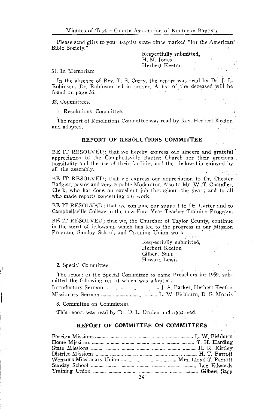Please send gifts to your Baptist state office marked "for the American: Bible Society."

> Respectfully submitted, H. M. Jones Herbert Keeton

#### 31. In Memoriam.

In the absence of Rev. T. S. Curry, the report was read by Dr. J. L. Robinson. Dr. Robinson led in prayer. A list of the deceased will be found on page 36.

32. Committees.

1. Resolutions Committee.

The report of Resolutions Committee was read by Rev. Herbert Keeton and adopted.

#### REPORT OF RESOLUTIONS COMMITTEE

BE IT RESOLVED; that we hereby express our sincere and grateful appreciation to the Campbellsville Baptist Church for their gracious hospitality and the use of their facilities and the fellowship enjoyed by all the assembly.

BE IT RESOLVED; that we express our appreciation to Dr. Chester Badgett, pastor and very capable Moderator. Also to Mr. W. T. Chandler, Clerk, who has done an excellent job throughout the year; and to all who made reports concerning our work.

BE IT RESOLVED; that we continue our support to Dr. Carter and to Campbellsville College in the new Four Year Teacher Training Program.

BE IT RESOLVED; that we, the Churches of Taylor County, continue in the spirit of fellowship which has led to the progress in our Mission Program, Sunday School, and Training Union work.

> Respectfully submitted, Herbert Keeton Gilbert Sapp Howard Lewis

#### 2. Special Committee.

The report of the Special Committee to name Preachers for 1959, submitted the following report which was adopted:

3. Committee on Committees.

This report was read by Dr. D. L. Druien and approved.

#### REPORT OF COMMITTEE ON COMMITTEES

| Woman's Missionary Union    Mrs. Lloyd T. Parrott |  |
|---------------------------------------------------|--|
|                                                   |  |
|                                                   |  |
|                                                   |  |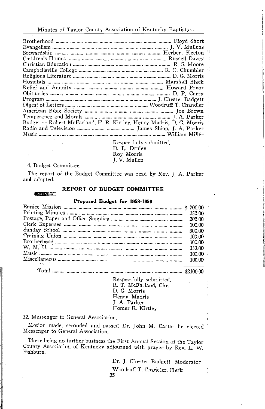| Budget — Robert McFarland, H. R. Kirtley, Henry Madris, D. G. Morris |  |
|----------------------------------------------------------------------|--|
| Radio and Television    James Shipp, J. A. Parker                    |  |
|                                                                      |  |
|                                                                      |  |

Respectfully submitted. D. L. Druien Roy Morris J. V. Mullen

4. Budget Committee.

 $\mathbb{R}^n$  . Then

**CONTRACTOR** 

. . .

The report of the Budget Committee was read by Rev. J. A. Parker and adopted.

### REPORT OF BUDGET COMMITTEE

#### Proposed Budget for 1958-1959

| 300.00 |
|--------|
|        |
|        |
| 150.00 |
|        |
|        |
|        |

Total ……… ……… ……… ……… ……… ……… ……… ……… ……… \$2100.00

Respectfully submitted, R. T. McFarland, Chr. D. G. Morris Henry Madris J. A. Parker Homer R. Kirtley

#### 32. Messenger to General Association.

Motion made, seconded and passed Dr. John M. Carter be elected Messenger to General Association.

There being no further business the First Annual Session of the Taylor County Association of Kentucky adjourned with prayer by Rev. L. W. Fishburn.

> Dr. J. Chester Badgett, Moderator Woodruff T. Chandler, Clerk 35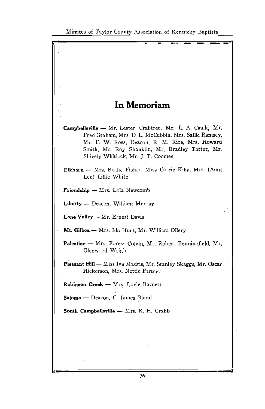

 $36 -$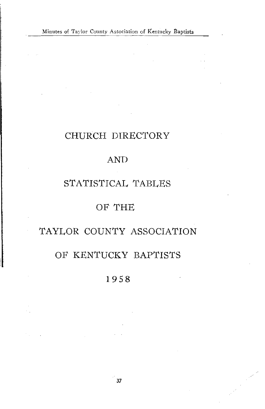# CHURCH DIRECTORY

# **AND**

# STATISTICAL TABLES

# OF THE

# TAYLOR COUNTY ASSOCIATION

# OF KENTUCKY BAPTISTS

# 1958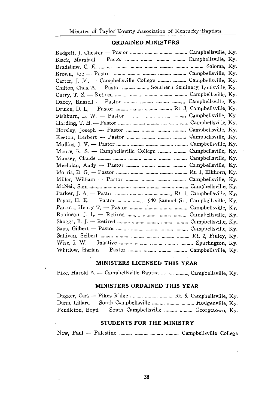### **ORDAINED MINISTERS**

| Carter, J. M. - Campbellsville College   Campbellsville, Ky.                                                                        |  |
|-------------------------------------------------------------------------------------------------------------------------------------|--|
| Chilton, Chas. A. - Pastor   Southern Seminary, Louisville, Ky.                                                                     |  |
|                                                                                                                                     |  |
|                                                                                                                                     |  |
|                                                                                                                                     |  |
|                                                                                                                                     |  |
|                                                                                                                                     |  |
| Horsley, Joseph - Pastor    Campbellsville, Ky.                                                                                     |  |
|                                                                                                                                     |  |
|                                                                                                                                     |  |
| Moore, R. S. - Campbellsville College   Campbellsville, Ky.                                                                         |  |
|                                                                                                                                     |  |
| McHolan, Andy - Pastor    Campbellsville, Ky.                                                                                       |  |
|                                                                                                                                     |  |
|                                                                                                                                     |  |
|                                                                                                                                     |  |
|                                                                                                                                     |  |
| Pryor, H. E. - Pastor   949 Samuel St., Campbellsville, Ky.                                                                         |  |
|                                                                                                                                     |  |
|                                                                                                                                     |  |
|                                                                                                                                     |  |
|                                                                                                                                     |  |
|                                                                                                                                     |  |
| Wise, I. W. $-$ Inactive $\ldots$ $\ldots$ $\ldots$ $\ldots$ $\ldots$ $\ldots$ $\ldots$ $\ldots$ $\ldots$ $\ldots$ Spurlington, Ky. |  |
|                                                                                                                                     |  |

### MINISTERS LICENSED THIS YEAR

Pike, Harold A. - Campbellsville Baptist .......... ........... Campbellsville, Ky.

## MINISTERS ORDAINED THIS YEAR

| Dugger, Carl — Pikes Ridge $\ldots$ Rt. 5, Campbellsville, Ky. |  |
|----------------------------------------------------------------|--|
| Dunn, Lillard - South Campbellsville    Hodgenville, Ky.       |  |
| Pendleton, Boyd — South Campbellsville   Georgetown, Ky.       |  |

### STUDENTS FOR THE MINISTRY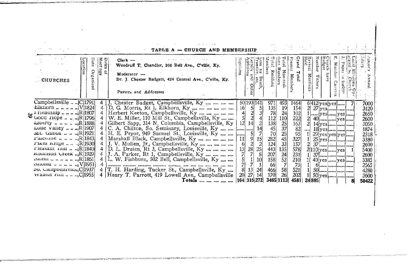|                                                                                                                                                                                                                                                                                                                                                                            | TABLE A - CHURCH AND MEMBERSHIP                                                                                                                                                                                                                                                                                                                                                                                                                                                                                                                                                                                                                              |                                                                                                                                           |                                                                                                                                                                                                                                                                                                                                                        |                                                                                                                      |                                                                                                                      |
|----------------------------------------------------------------------------------------------------------------------------------------------------------------------------------------------------------------------------------------------------------------------------------------------------------------------------------------------------------------------------|--------------------------------------------------------------------------------------------------------------------------------------------------------------------------------------------------------------------------------------------------------------------------------------------------------------------------------------------------------------------------------------------------------------------------------------------------------------------------------------------------------------------------------------------------------------------------------------------------------------------------------------------------------------|-------------------------------------------------------------------------------------------------------------------------------------------|--------------------------------------------------------------------------------------------------------------------------------------------------------------------------------------------------------------------------------------------------------------------------------------------------------------------------------------------------------|----------------------------------------------------------------------------------------------------------------------|----------------------------------------------------------------------------------------------------------------------|
| <b>CHURCHES</b>                                                                                                                                                                                                                                                                                                                                                            | z<br>∊<br>$Clerk -$<br>5ú<br>eet n,<br>$\overline{\pi}$<br>Woodruff T. Chandler, 206 Bell Ave., C'ville, Ky.<br>$M$ oderator $\rightarrow$<br>Dr. J. Chester Badgett, 424 Central Ave., C'ville, Ky.<br>Pastors and Addresses                                                                                                                                                                                                                                                                                                                                                                                                                                | aptisms<br>etters<br>Iddition<br>coss by<br>ransfer<br>$\omega$ $\omega$<br><b>DIC</b><br>De<br>Other                                     | Fotal<br>Vlembe<br>ine<br>iesen<br>reno.<br>rand<br>Members<br>Non-resi-<br>Resident<br>Tota<br>Mem<br>ber                                                                                                                                                                                                                                             | Number<br>Church<br>Budget<br>Revival<br>Held<br>Paper<br>Memb<br>Meeting<br>Tithers<br>Can                          | इ≊<br>≅⇔'<br>inual<br>ens<br>sur<br>150                                                                              |
| Campbellsville  C[1791]<br>Good Hope $$ $R[1796]$<br>Liberty $ R 1888 $<br>Lone Valley $\cdot$ R[1907]<br>Mr. Gilboa    R[1921]<br><b>Falcsune </b> $R[1843]$<br>$r$ <sup>1</sup> kes Aluge $ R 1930 $<br>$r$ leasant ruit $\ldots$ R 1840 <br>$x$ oblitson Creek $R$ [1929]<br>$\mu$ atoma $ V $ 1951<br>$50.$ Campbensville <sub>i</sub> C[1937]<br>wamut mill   C[1955] | 4 J. Chester Badget, Campbellsville, Ky<br>D. G. Morris, Rt 1, Elkhorn, Ky<br>4<br>Herbert Keeton, Campbellsville, Ky<br>W. E. Miller, 110 Mill St., Campbellsville, Ky<br>Gilbert Sapp, 314 N. Columbia, Campbellsville, Ky<br>C. A. Chilton, So. Seminary, Louisville, Ky   []<br>H. E. Pryor, 949 Samuel St., Louisville, Ky    <br>Marshall Black, Campbellsville, Ky<br>J. V. Mullen, Jr., Campbellsville, Ky<br>D. L. Druien, Rt 3, Campbellsville, Ky<br>J. A. Parker, Rt 1, Campbellsville, Ky<br>L. W. Fishburn, 502 Bell, Campbellsville, Ky<br>T. H. Harding, Tucker St., Campbellsville, Ky<br>Henry T. Parrott, 419 Lowell Ave., Campbellsville | 50 193 141<br>16 <br>51<br>$\mathbf{z}$<br>$\overline{2}$<br>12<br>14<br>11<br>28<br>25<br>13 <sup>′</sup><br>10<br>24<br>27<br>201<br>14 | 971<br>493<br>1464<br>135<br>$\frac{19}{24}$<br>154<br>78<br>102<br>112<br>110<br>222<br>138<br>25<br>32<br>33<br>33<br>$\begin{array}{c}\n163 \\ 82 \\ 95\n\end{array}$<br>$\frac{45}{70}$<br>282<br>327<br>$\frac{124}{443}$<br>157<br>135<br>578<br>207<br>$\frac{24}{52}$<br>231<br>158<br>210<br>66<br>73<br>58<br>521<br>466<br>26<br>202<br>170 | 6 412 yes yes  <br>[  [yes]] yes]<br>40      yes  <br>$29$ yes yes yes<br>$2 110 $ yes $  $ yes $ $<br>$40$ yes  yes | 7000<br>3120<br>2650<br>2600<br>3050<br>1874<br>2318<br>3380<br>2600<br>5400<br>2600<br>3385<br>2565<br>4280<br>3600 |
|                                                                                                                                                                                                                                                                                                                                                                            | Totals                                                                                                                                                                                                                                                                                                                                                                                                                                                                                                                                                                                                                                                       | 164 315 272                                                                                                                               | 3465 1113<br>4581                                                                                                                                                                                                                                                                                                                                      | 24 895                                                                                                               | 50422                                                                                                                |

2012/07/2012 12:00:00 to 2012 12:00:00 percent and control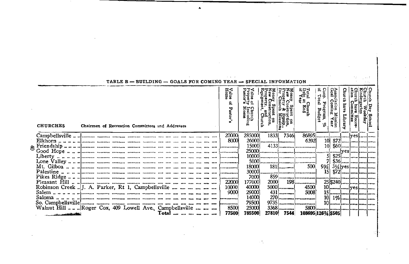|                                                         |  |                                                 |       |  |  | <u>UADO FUR CUMINU IBRIR</u> |                           |                  |            |                                      |                                              |                                          |  |  |
|---------------------------------------------------------|--|-------------------------------------------------|-------|--|--|------------------------------|---------------------------|------------------|------------|--------------------------------------|----------------------------------------------|------------------------------------------|--|--|
| <b>CHURCHES</b>                                         |  | Chairmen of Recreation Committees and Addresses |       |  |  | Value<br>Home<br>asto:       | Church<br>Includi<br>Home | Church<br>Church |            | Total<br>Dept<br>ដឹង<br><b>Enits</b> | Coop. P:<br>of Total<br>ሇ<br>ogram.<br>Budge | Associati<br>Goal Co:<br>Mission<br>Tear |  |  |
|                                                         |  |                                                 |       |  |  | 20000                        | 285000                    | 1833             | 7346       | 86895                                |                                              |                                          |  |  |
|                                                         |  |                                                 |       |  |  | 8000                         | 26000                     |                  | I. <b></b> | 6392                                 |                                              |                                          |  |  |
|                                                         |  |                                                 |       |  |  |                              | 15000                     |                  |            |                                      |                                              |                                          |  |  |
|                                                         |  |                                                 |       |  |  |                              | 25000                     |                  |            |                                      |                                              |                                          |  |  |
|                                                         |  |                                                 |       |  |  |                              |                           |                  |            |                                      |                                              |                                          |  |  |
|                                                         |  |                                                 |       |  |  |                              | 5000                      |                  |            |                                      |                                              |                                          |  |  |
|                                                         |  |                                                 |       |  |  |                              | 18000                     |                  | $181$ []   | 500                                  | 93⁄41                                        |                                          |  |  |
|                                                         |  |                                                 |       |  |  |                              | 30000                     |                  |            |                                      |                                              |                                          |  |  |
|                                                         |  |                                                 |       |  |  |                              | 7000                      |                  |            |                                      |                                              |                                          |  |  |
|                                                         |  |                                                 |       |  |  | 22000                        | 1770001                   |                  |            | 2000 198                             |                                              | 25 \$240                                 |  |  |
| Robinson Creek  J. A. Parker, Rt 1, Campbellsville      |  |                                                 |       |  |  | 10000                        | 40000                     |                  | $5000$ []  | 4500                                 |                                              | 10  ves                                  |  |  |
|                                                         |  |                                                 |       |  |  | 9000                         | 29000                     |                  | $431$ []   | 5008                                 |                                              |                                          |  |  |
|                                                         |  |                                                 |       |  |  |                              | 14000                     |                  |            |                                      |                                              |                                          |  |  |
|                                                         |  |                                                 |       |  |  |                              | 79500                     |                  |            | 9735                                 |                                              |                                          |  |  |
| Walnut Hill  Roger Cox, 409 Lowell Ave., Campbellsville |  |                                                 |       |  |  | 8500                         | 25000                     |                  | $3368$     |                                      |                                              |                                          |  |  |
| فالأخذ المعاون مستركب وروا                              |  |                                                 | Total |  |  | 77500                        | 785500                    |                  |            | 27810 7544 108695 126 \\$505         |                                              |                                          |  |  |

 $\sim$ 

 $\sim$ 

 $TARTER = RIIII. DING = GOAIS ROR COMING VFAR = SERTIAT. INRODUCTION$ 

**Contractor** 

 $\sim$   $\sim$   $\sim$ 

 $\mathbf{r}$ 

 $\sim 2\pi$ 

 $\sim$   $\sim$   $\approx$ s pro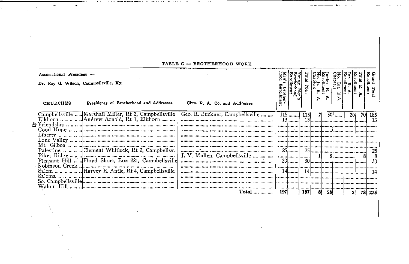| Associational President -              |                                                                                    |                                                                    |                    |                                        | ដូ        |                          |                     |                                                                                                     |     |                               |
|----------------------------------------|------------------------------------------------------------------------------------|--------------------------------------------------------------------|--------------------|----------------------------------------|-----------|--------------------------|---------------------|-----------------------------------------------------------------------------------------------------|-----|-------------------------------|
| Dr. Roy G. Wilson, Campbellsville, Ky. |                                                                                    |                                                                    | 펖                  | Young Men<br>Brotherhood<br>Enrollment | Nen<br>¤, | $\frac{R}{\text{Iment}}$ | lo. Int.<br>hapters | $\begin{array}{c}\n\mathbf{a} \\ \mathbf{b} \\ \mathbf{c} \\ \mathbf{d} \\ \mathbf{b}\n\end{array}$ | ⋗   | ho <sub>11</sub><br>ā<br>Tota |
| CHURCHES                               | Presidents of Brotherhood and Addresses                                            | Chm. R. A. Co. and Addresses                                       | rother-<br>:ollmen |                                        |           |                          |                     |                                                                                                     |     |                               |
|                                        | Campbellsville  Marshall Miller, Rt 2, Campbellsville                              | Geo. R. Buckner, Campbellsville                                    | 115                |                                        | 71        |                          | $50$                | <b>201</b>                                                                                          |     | 70 185                        |
|                                        |                                                                                    |                                                                    | $13$               |                                        | $13$      |                          |                     |                                                                                                     |     | -13                           |
|                                        |                                                                                    |                                                                    | .                  |                                        |           |                          |                     |                                                                                                     |     |                               |
|                                        |                                                                                    |                                                                    |                    |                                        |           |                          |                     |                                                                                                     |     |                               |
|                                        |                                                                                    |                                                                    |                    |                                        |           |                          |                     |                                                                                                     |     |                               |
|                                        |                                                                                    | ALIFERNIA BERTINGLAG CANGOLINA CHILLENIA DELL'OLIA DELL'OLIA ALIX  |                    |                                        |           |                          |                     |                                                                                                     |     |                               |
|                                        |                                                                                    | J. V. Mullen, Campbellsville                                       | $25$               | <u>lae savaralaanseera laaseera l</u>  |           |                          |                     |                                                                                                     | 81  | 25<br>8                       |
|                                        | Pleasant Hill  Floyd Short, Box 221, Campbellsville                                | anona noona mana waani ka sa sa ma ni ni n                         | $30$               |                                        |           |                          |                     |                                                                                                     |     | 30                            |
|                                        |                                                                                    | Inspiration Attornance Operatores Accountant acts that can act and |                    |                                        |           |                          |                     |                                                                                                     |     |                               |
|                                        | Salem Harvey E. Antle, Rt 4, Campbellsville                                        |                                                                    | 14I                |                                        |           |                          |                     |                                                                                                     |     | 14                            |
|                                        | So. Campbellsville $\ldots$ , $\ldots$ and $\ldots$ and $\ldots$ $\ldots$ $\ldots$ |                                                                    |                    |                                        |           |                          |                     |                                                                                                     |     |                               |
|                                        |                                                                                    | mondo diago conoce acomo da se da na na                            |                    |                                        |           |                          |                     |                                                                                                     |     |                               |
|                                        |                                                                                    | Total      197                                                     |                    |                                        | 197 <br>8 | - 58 I                   |                     |                                                                                                     | 781 | 275                           |

#### TABLE C - BROTHERHOOD WORK

 $\sim$ 

 $-\sim$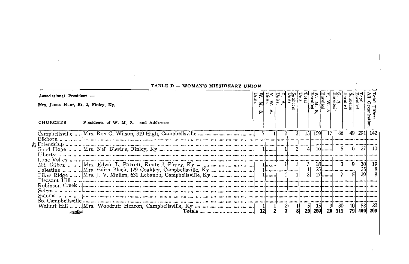| Associational President -<br>Mrs. James Hunt. Rt. 2. Finley, Ky.<br>CHURCHES | Presidents of W. M. S. and Addresses                                                                           | $\vert x \vert$ |  | $rac{\sin \frac{\pi}{2}}{\sin \frac{\pi}{2}}$ |  |                 |     |      |      |                      |       |                |  |
|------------------------------------------------------------------------------|----------------------------------------------------------------------------------------------------------------|-----------------|--|-----------------------------------------------|--|-----------------|-----|------|------|----------------------|-------|----------------|--|
|                                                                              |                                                                                                                |                 |  |                                               |  | 13 <sup>1</sup> | 159 |      | 661  | 491                  | 291 I | 142            |  |
|                                                                              | S Eriendship սուսվրթատ բացալրացալացող տացը աստալու ալաւու ալաւու ալաւու ալավատախտախտախտայիտացիացակատախտացիությ |                 |  |                                               |  |                 |     | $16$ |      | 61                   | 27    | 10.            |  |
|                                                                              |                                                                                                                |                 |  |                                               |  |                 |     |      |      |                      | 25    | 19  <br>8<br>8 |  |
|                                                                              |                                                                                                                |                 |  |                                               |  |                 |     |      |      |                      |       |                |  |
|                                                                              |                                                                                                                |                 |  |                                               |  |                 |     |      | - 30 | 101<br>20 111 79 460 | 58    | 22<br>209      |  |

### TABLE D - WOMAN'S MISSIONARY UNION

 $\sim$ 

 $\sim$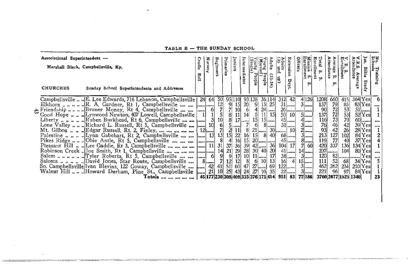| Associational Superintendent -<br>Marshall Black, Campbellsville, Ky.<br><b>CHURCHES</b><br>Sunday School Superintendents and Addresses                                                                                                                                                                                                                                                                                                                                                                 | Cradle<br>Roll | Nurser                         | <b>Beginners</b>                                                          | Primaries                                                                                      | Juniors                                                                          | Intermediates                   | Single<br>Single<br>People                                                                                                                                                                                                                                                                                                                                 | Voung Pe<br>dults<br>$(25 -$<br>eop<br>٩Ť                            | Adults<br>(35 and<br> 5      | Extension<br>Dept                                                                                                 | Mission S.<br>Enrollment<br><b>Officers</b><br><b>tn</b>                                                                 | Enrollment<br>Total<br>ä.<br><b>M</b>                                                                             | Average S.<br>Attendance<br>τo.<br>ທ                                        | B. S.<br>Intollment                                                                             | .B.S. Aver:<br>ttendance<br>P.                                                      | Bible<br>Stud                                                                                                                                | No. Training<br>Schools                  |
|---------------------------------------------------------------------------------------------------------------------------------------------------------------------------------------------------------------------------------------------------------------------------------------------------------------------------------------------------------------------------------------------------------------------------------------------------------------------------------------------------------|----------------|--------------------------------|---------------------------------------------------------------------------|------------------------------------------------------------------------------------------------|----------------------------------------------------------------------------------|---------------------------------|------------------------------------------------------------------------------------------------------------------------------------------------------------------------------------------------------------------------------------------------------------------------------------------------------------------------------------------------------------|----------------------------------------------------------------------|------------------------------|-------------------------------------------------------------------------------------------------------------------|--------------------------------------------------------------------------------------------------------------------------|-------------------------------------------------------------------------------------------------------------------|-----------------------------------------------------------------------------|-------------------------------------------------------------------------------------------------|-------------------------------------------------------------------------------------|----------------------------------------------------------------------------------------------------------------------------------------------|------------------------------------------|
| Campbellsville  E. Lee Edwards, 716 Lebanon, Campbellsville  <br>Eriendship  Pruner Money, Rt 4, Campbellsville<br>Pikes Ridge  Obie Antle, Rt 5, Campbellsville      <br>Pleasant Hill   Lee Gaddie, Rt 3, Campbellsville        <br>Robinson Creek  Joe Smith, Rt 1, Campbellsville         <br>So. Campbellsville Ivan Blevins, 122 Goway, Campbellsville   42<br>Walnut Hill  Howard Durham, Pine St., Campbellsville [] 21 10<br>Totals        45 177 230 308 409 335 376 175 414  951  83  77 186 |                | 24 64<br>6<br><b>11</b><br>$8$ | 50<br>12<br>$\frac{5}{10}$<br>$\frac{6}{7}$<br>13<br>31<br>$\frac{14}{9}$ | 4 <sup>1</sup><br>$37$<br>$\frac{21}{9}$<br>$\begin{array}{c c} 7 & 12 \\ 41 & 51 \end{array}$ | 95 110<br>$\frac{9}{7}$ $\frac{15}{10}$<br>$5$<br>2 11 <br>15 22<br>$25$ 43 $24$ | 20 <sub>l</sub><br>6<br>7<br>16 | 93 138<br>9<br>4<br>$\begin{bmatrix} 8 & 11 & 14 & 5 \\ 8 & 17 & \dots & 15 \end{bmatrix}$<br>61<br>15 <sup>1</sup><br>$\begin{array}{c c c c c} 16 & 15 & 20 & \cdots & 10 \\ \hline 16 & 39 & 42 & \cdots & 36 \\ 29 & 28 & 30 & 40 & 20 \\ 17 & 10 & 11 & \cdots & 17 \\ 12 & 8 & 6 & 10 & 13 \\ 60 & 47 & 27 & \cdots & 92 \\ \end{array}$<br>27 10 35 | 36 114<br>25<br>13<br>$24$<br>$11$   15 <br>$15$<br>$8$<br>-81<br>40 | 312<br>50<br>16 <sup>1</sup> | 42<br>$31$<br>10 <sup>1</sup><br>$45$<br>$31$<br>101<br>$68$<br>$45$<br>$104$ 17<br>$41$<br>$38$<br>$122$<br>$22$ | 4 126 <br>$3$<br>$5$ []<br>$4$<br>$3$<br>$2$<br>$3$<br>$\frac{8}{7}$ $\frac{3}{60}$<br>$14$<br>$3$<br>$15$<br>$3$<br>$3$ | 1208<br>137<br>90<br>137<br>$\frac{116}{76}$<br>$\frac{93}{213}$<br>119<br>420<br>237<br>120<br>111<br>462<br>221 | 660<br>79<br>72<br>73<br>44<br>42<br>127<br>77<br>337<br>الببست<br>52<br>96 | 415<br>85<br>53<br>53<br>53<br>70<br>42<br>26<br>102<br>40<br>136<br>104<br>68<br>262 234<br>97 | 364 Yesl<br>$134$ Yesl<br>$82$ $\cdots$ $\cdots$<br>210 Yes <br>3760 2077 1525 1340 | $83$ [Yes]<br>$51$ $\ldots$<br>$52$ [Yes]<br>$39[Yes]$<br>$28$ $Yes$<br>$84$ Yes<br>37 Yes<br>$80$ Yes $\ldots$<br>Yes<br>34 Yesl<br>84 Yesl | -6<br>1<br>$60$<br>2<br>4<br><br>5<br>23 |

TABLE E - THE SUNDAY SCHOOL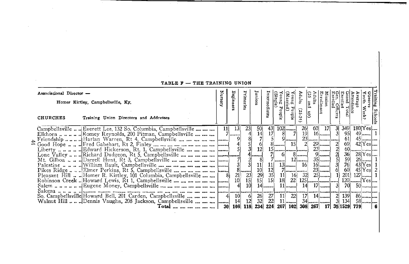| TABLE $F = THE$ ikaining Union                                                                                                                                                                                                                   |                 |                                                       |                                          |                                                                                                |                                                                      |                                                                                                          |                                                                         |                                                             |                                                                          |                         |                                                                   |                                |                                                             |
|--------------------------------------------------------------------------------------------------------------------------------------------------------------------------------------------------------------------------------------------------|-----------------|-------------------------------------------------------|------------------------------------------|------------------------------------------------------------------------------------------------|----------------------------------------------------------------------|----------------------------------------------------------------------------------------------------------|-------------------------------------------------------------------------|-------------------------------------------------------------|--------------------------------------------------------------------------|-------------------------|-------------------------------------------------------------------|--------------------------------|-------------------------------------------------------------|
| Associational Director -<br>Homer Kirtley, Campbellsville, Ky.<br><b>CHURCHES</b><br>Training Union Directors and Addresses                                                                                                                      |                 | Beginne                                               | Primark                                  | Juniors                                                                                        | Intern                                                               | (Single<br><b>Buno</b><br>$\mathbf{r}$<br>copl                                                           | Young Pe<br>ឆ<br>Ö.<br>elqe.                                            | ្ល<br>Adults<br>$\frac{1}{2}$<br>ξ,                         | Errollment                                                               | Gen. Office<br>Enrolled | inrolled<br>.<br>ttendance<br>Trand Tot.                          | $\frac{1}{\sqrt{3}}$<br>verage | Training<br>$\frac{1}{\text{Weck}}$<br><b>Schools</b>       |
| Campbellsville  Everett Lee, 132 So. Columbia, Campbellsville<br>Elkhorn Romey Reynolds, 200 Pitman, Campbellsville<br>Pikes Ridge  Elmer Perkins, Rt 5, Campbellsville        <br>Pleasant Hill  Homer R. Kirtley, 101 Columbia, Campbellsville | 11              | 13<br>$7$<br>$\begin{bmatrix} 21 \\ 10 \end{bmatrix}$ | 23 <sub>1</sub><br>0 <br>$\frac{23}{15}$ | 50<br>$\frac{14}{7}$<br><sup>4</sup> 1<br>$\begin{bmatrix} 11 \\ 10 \\ 29 \\ 15 \end{bmatrix}$ | 43<br> 17 <br>$\begin{bmatrix} 12 \\ 35 \\ 15 \end{bmatrix}$<br>$14$ | $102$<br>81<br>سيسا9<br>$8$<br>15    <br>61<br>/   <br>$13$<br>$\left  \mathbf{11}\right $<br>18<br>$11$ | 15<br>$8$   <br>$12$<br>$7$ $\cdots$ $\cdots$ $\cdots$<br>$16$ 32<br>22 | 60<br>26<br>191<br>21<br>16<br>$125$ $\sim$<br>$14$ $17$ $$ | <b>17</b><br>$16$<br>$29$<br>$23$ ]<br>9<br>$35$<br>$16$<br>$23$<br>$25$ | 31<br>-31<br><br>31     | 349<br>-951<br>61<br>69<br>36<br>59<br>76<br>60<br>201<br>701<br> | $180$ [Yes]<br>$42 Yes$        | $28$ [Yes]<br>$43$ $\text{Yes}$ 1<br>$45 Y_{es} $ 2<br>$50$ |
| So. Campbellsville Howard Bell, 201 Carden, Campbellsville<br>Walnut Hill  Dennis Vaughn, 208 Jackson, Campbellsville     <br>Total                                                                                                              | 30 <sup>1</sup> | 10 <sup>1</sup><br>41<br>14                           | $\frac{6}{12}$<br>108 118 234            | $\frac{26}{32}$                                                                                | 27<br>- 22<br>224                                                    | 11<br>$11$                                                                                               | 22<br>207   102   308   267   17   35   1529   779                      | 17                                                          | $14$                                                                     | 21                      | <b>139</b><br>3 134                                               |                                | - 6                                                         |

the control of the control of the con-

#### **CADIDA DE CUB COAINING HILLON**

the control of the control of the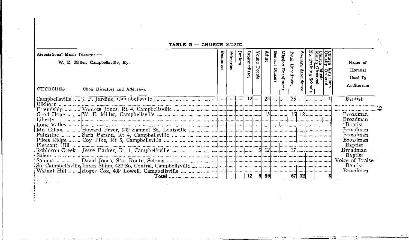TABLE G - CHURCH MUSIC

| Associational Music Director -<br>W. E. Miller, Campbellsville, Ky.<br>CHURCHES<br>Choir Directors and Addresses | Beginners | <b>himaries</b> | media | ᠊ᠣ | Mdul | Gen<br>Office | Mission<br>Enrollment | Total<br>Enrolln | g. |  | $\Omega$ | Name of<br>Hymnal<br>Used In<br>Auditorium                                                                                                               |
|------------------------------------------------------------------------------------------------------------------|-----------|-----------------|-------|----|------|---------------|-----------------------|------------------|----|--|----------|----------------------------------------------------------------------------------------------------------------------------------------------------------|
|                                                                                                                  |           |                 |       |    |      |               |                       |                  |    |  |          | Baptist                                                                                                                                                  |
|                                                                                                                  |           |                 |       |    |      |               |                       |                  |    |  |          | <b>Broadman</b><br>Baptist<br>Broadman<br>Broadman<br><b>Broadman</b><br>Baptist<br>Broadman<br>Baptist<br>Voice of Praise<br><b>Baptist</b><br>Broadman |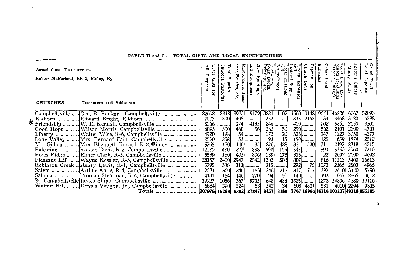| Associational Treasurer -<br>Robert McFarland, Rt. 2, Finley, Ky.<br><b>CHURCHES</b> | Treasurers and Addresses                                                                                                          | ĒΠ<br>Purpos  | Total<br>성<br>ik<br>S<br>Salaries<br>Gifts<br>Pastor's<br>ä | Main<br>nce, Repairs,<br>tenance,<br>Insu<br>etc. | Kew<br>ā,<br>Equipment<br>Buildings | $rac{1}{2}$ $rac{1}{2}$<br>mev.<br>Iterature,<br>Iterature,<br>Ter Books, | ocal<br>no<br>enevolences | astoral<br>evival<br>nd<br>al Supply<br>Missions<br><b>Expenses</b> | Fayment<br>Church<br>Debt<br>ទួ | Expenses<br>Other<br>5<br>ě, | penses<br>Pastor'<br>Total<br>Local Ex-<br>s (excluding<br>r's Salary) | (Money<br>astor <sup>1</sup><br>m<br>Salary<br>Paid) | Grand<br>Local<br>Expe<br>Total<br>š |
|--------------------------------------------------------------------------------------|-----------------------------------------------------------------------------------------------------------------------------------|---------------|-------------------------------------------------------------|---------------------------------------------------|-------------------------------------|---------------------------------------------------------------------------|---------------------------|---------------------------------------------------------------------|---------------------------------|------------------------------|------------------------------------------------------------------------|------------------------------------------------------|--------------------------------------|
|                                                                                      | Campbellsville  Geo. R. Buckner, Campbellsville                                                                                   | 82692<br>7007 | 8842<br>300                                                 | 2925                                              | 9179<br>$405$                       | 3821                                                                      | 1107<br>$233$             | 1560<br>333                                                         | 91481<br>21631                  | 96441<br>-34                 | 46226<br>3468                                                          | 6667<br>3120                                         | 52893<br>6588                        |
|                                                                                      | Elkhorn  Edward Bright, Elkhorn                                                                                                   | 8066          |                                                             | 174                                               | 41331                               |                                                                           | $246$                     |                                                                     | $400$                           | 902                          | 5855                                                                   | 2650                                                 | 8505                                 |
|                                                                                      | Good Hope   Wilson Morris, Campbellsville                                                                                         | 6893          | 300                                                         | 460                                               | 56I                                 | 382                                                                       | 50                        |                                                                     | 290                             | 562                          | 2101                                                                   | 2600                                                 | 4701                                 |
|                                                                                      |                                                                                                                                   | 4920          | 198                                                         |                                                   | $54$                                | 172                                                                       | 20 <sub>l</sub>           |                                                                     | $536$                           | 247                          | 1227                                                                   | 3050                                                 | 4277                                 |
|                                                                                      | Lone Valley  Mrs. Bernard Fain, Campbellsville                                                                                    | 2590          | 208                                                         |                                                   | $53$                                | 93                                                                        | 15 <sup>1</sup>           |                                                                     | $150$                           | 120                          | 639                                                                    | 1874                                                 | 2512                                 |
|                                                                                      |                                                                                                                                   | 5765          | 120                                                         | 146                                               | 35                                  | 276                                                                       | 428                       | 3511                                                                | 530                             | 311                          | 2197                                                                   | 2318                                                 | 4515                                 |
|                                                                                      | Palestine    Robbie Davis, R-2, Campbellsville                                                                                    | 12089         | 480                                                         | 227                                               | 838                                 | 698                                                                       | 165                       |                                                                     | $343$ []                        | 599                          | 3350                                                                   | 3960                                                 | 7310                                 |
|                                                                                      | Pikes Ridge  Elmer Clark, R-5, Campbellsville                                                                                     | 5539          | 180                                                         | 4051                                              | 806                                 | 189                                                                       | 175                       |                                                                     | $315$                           | 22                           | 2092                                                                   | 2600                                                 | 4692                                 |
|                                                                                      | Pleasant Hill  Wayne Kessler, R-3, Campbellsville                                                                                 | 28157         | 2400                                                        | 2947                                              | 2542                                | 1202                                                                      | 500                       |                                                                     | $807$                           | 816                          | 11213                                                                  | 5400                                                 | 16613                                |
|                                                                                      | Robinson Creek  Henry Lewis, R-1, Campbellsville                                                                                  | 5795          | 300                                                         | 313                                               |                                     | 315                                                                       | ----------                | 2921                                                                | -751                            | 1070                         | 2366                                                                   | 2600                                                 | 4966                                 |
|                                                                                      | Salem $\ldots$ $\ldots$ $\ldots$ $\ldots$ $\ldots$ Arthur Antle, R-4, Campbellsville $\ldots$ $\ldots$ $\ldots$ $\ldots$ $\ldots$ | 7521          | 360                                                         | 246                                               | 185                                 | 546                                                                       | 212                       | 317                                                                 | 717                             | 387                          | 2610                                                                   | 3140                                                 | 5750                                 |
|                                                                                      |                                                                                                                                   | 4131          | 154                                                         | 146                                               | 270                                 | 94                                                                        | 50                        |                                                                     | $140$                           | 193                          | 1047                                                                   | 2565                                                 | 3612                                 |
|                                                                                      | So. Campbellsville James Shipp, Campbellsville                                                                                    | 19927         | 1056                                                        | 367                                               | 9735                                | 648                                                                       | 433                       |                                                                     | $1325$                          | 1278                         | 14836                                                                  | 4280                                                 | 19116                                |
|                                                                                      | Walnut Hill   Dennis Vaughn, Jr., Campbellsville                                                                                  | 6884          | 390                                                         | 524                                               | 68                                  | 542                                                                       | 34                        | 608                                                                 | 4331                            | 531                          | 4010                                                                   | 2294                                                 | 9335                                 |
|                                                                                      | Totals        207976  15288                                                                                                       |               |                                                             | 9392                                              | 27847                               | 9457                                                                      | 3189                      |                                                                     |                                 |                              | 7767 16964 16716 103237 49118 155385                                   |                                                      |                                      |

TABLE H and I - TOTAL GIFTS AND LOCAL EXPENDITURES

 $\sim$